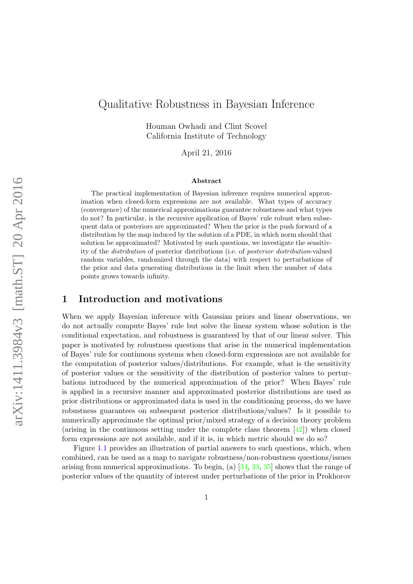# Qualitative Robustness in Bayesian Inference

Houman Owhadi and Clint Scovel California Institute of Technology

April 21, 2016

#### Abstract

The practical implementation of Bayesian inference requires numerical approximation when closed-form expressions are not available. What types of accuracy (convergence) of the numerical approximations guarantee robustness and what types do not? In particular, is the recursive application of Bayes' rule robust when subsequent data or posteriors are approximated? When the prior is the push forward of a distribution by the map induced by the solution of a PDE, in which norm should that solution be approximated? Motivated by such questions, we investigate the sensitivity of the distribution of posterior distributions (i.e. of posterior distribution-valued random variables, randomized through the data) with respect to perturbations of the prior and data generating distributions in the limit when the number of data points grows towards infinity.

### 1 Introduction and motivations

When we apply Bayesian inference with Gaussian priors and linear observations, we do not actually compute Bayes' rule but solve the linear system whose solution is the conditional expectation, and robustness is guaranteed by that of our linear solver. This paper is motivated by robustness questions that arise in the numerical implementation of Bayes' rule for continuous systems when closed-form expressions are not available for the computation of posterior values/distributions. For example, what is the sensitivity of posterior values or the sensitivity of the distribution of posterior values to perturbations introduced by the numerical approximation of the prior? When Bayes' rule is applied in a recursive manner and approximated posterior distributions are used as prior distributions or approximated data is used in the conditioning process, do we have robustness guarantees on subsequent posterior distributions/values? Is it possible to numerically approximate the optimal prior/mixed strategy of a decision theory problem (arising in the continuous setting under the complete class theorem [\[42\]](#page-26-0)) when closed form expressions are not available, and if it is, in which metric should we do so?

Figure [1.1](#page-1-0) provides an illustration of partial answers to such questions, which, when combined, can be used as a map to navigate robustness/non-robustness questions/issues arising from numerical approximations. To begin, (a) [\[34,](#page-25-0) [33,](#page-25-1) [35\]](#page-25-2) shows that the range of posterior values of the quantity of interest under perturbations of the prior in Prokhorov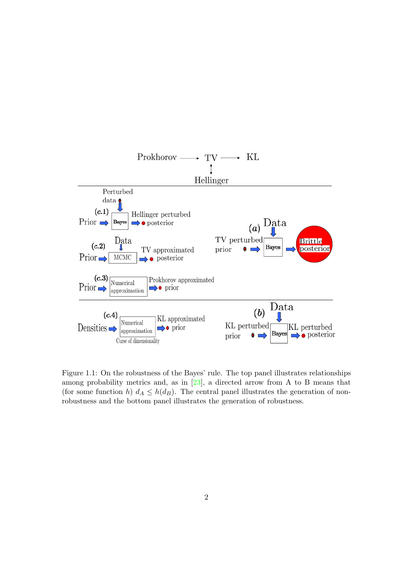

<span id="page-1-0"></span>Figure 1.1: On the robustness of the Bayes' rule. The top panel illustrates relationships among probability metrics and, as in [\[23\]](#page-25-3), a directed arrow from A to B means that (for some function h)  $d_A \leq h(d_B)$ . The central panel illustrates the generation of nonrobustness and the bottom panel illustrates the generation of robustness.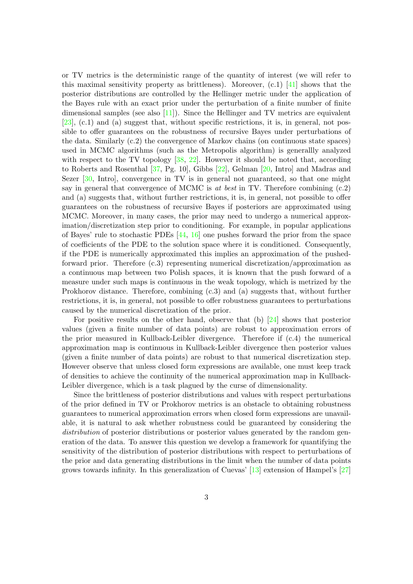or TV metrics is the deterministic range of the quantity of interest (we will refer to this maximal sensitivity property as brittleness). Moreover,  $(c.1)$  [\[41\]](#page-26-1) shows that the posterior distributions are controlled by the Hellinger metric under the application of the Bayes rule with an exact prior under the perturbation of a finite number of finite dimensional samples (see also [\[11\]](#page-24-0)). Since the Hellinger and TV metrics are equivalent [\[23\]](#page-25-3), (c.1) and (a) suggest that, without specific restrictions, it is, in general, not possible to offer guarantees on the robustness of recursive Bayes under perturbations of the data. Similarly (c.2) the convergence of Markov chains (on continuous state spaces) used in MCMC algorithms (such as the Metropolis algorithm) is generallly analyzed with respect to the TV topology [\[38,](#page-26-2) [22\]](#page-25-4). However it should be noted that, according to Roberts and Rosenthal [\[37,](#page-26-3) Pg. 10], Gibbs [\[22\]](#page-25-4), Gelman [\[20,](#page-24-1) Intro] and Madras and Sezer [\[30,](#page-25-5) Intro], convergence in TV is in general not guaranteed, so that one might say in general that convergence of MCMC is at best in TV. Therefore combining  $(c.2)$ and (a) suggests that, without further restrictions, it is, in general, not possible to offer guarantees on the robustness of recursive Bayes if posteriors are approximated using MCMC. Moreover, in many cases, the prior may need to undergo a numerical approximation/discretization step prior to conditioning. For example, in popular applications of Bayes' rule to stochastic PDEs [\[44,](#page-26-4) [16\]](#page-24-2) one pushes forward the prior from the space of coefficients of the PDE to the solution space where it is conditioned. Consequently, if the PDE is numerically approximated this implies an approximation of the pushedforward prior. Therefore (c.3) representing numerical discretization/approximation as a continuous map between two Polish spaces, it is known that the push forward of a measure under such maps is continuous in the weak topology, which is metrized by the Prokhorov distance. Therefore, combining (c.3) and (a) suggests that, without further restrictions, it is, in general, not possible to offer robustness guarantees to perturbations caused by the numerical discretization of the prior.

For positive results on the other hand, observe that (b) [\[24\]](#page-25-6) shows that posterior values (given a finite number of data points) are robust to approximation errors of the prior measured in Kullback-Leibler divergence. Therefore if (c.4) the numerical approximation map is continuous in Kullback-Leibler divergence then posterior values (given a finite number of data points) are robust to that numerical discretization step. However observe that unless closed form expressions are available, one must keep track of densities to achieve the continuity of the numerical approximation map in Kullback-Leibler divergence, which is a task plagued by the curse of dimensionality.

Since the brittleness of posterior distributions and values with respect perturbations of the prior defined in TV or Prokhorov metrics is an obstacle to obtaining robustness guarantees to numerical approximation errors when closed form expressions are unavailable, it is natural to ask whether robustness could be guaranteed by considering the distribution of posterior distributions or posterior values generated by the random generation of the data. To answer this question we develop a framework for quantifying the sensitivity of the distribution of posterior distributions with respect to perturbations of the prior and data generating distributions in the limit when the number of data points grows towards infinity. In this generalization of Cuevas' [\[13\]](#page-24-3) extension of Hampel's [\[27\]](#page-25-7)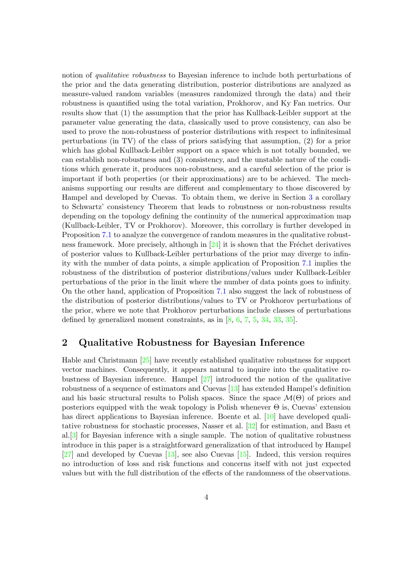notion of *qualitative robustness* to Bayesian inference to include both perturbations of the prior and the data generating distribution, posterior distributions are analyzed as measure-valued random variables (measures randomized through the data) and their robustness is quantified using the total variation, Prokhorov, and Ky Fan metrics. Our results show that (1) the assumption that the prior has Kullback-Leibler support at the parameter value generating the data, classically used to prove consistency, can also be used to prove the non-robustness of posterior distributions with respect to infinitesimal perturbations (in TV) of the class of priors satisfying that assumption, (2) for a prior which has global Kullback-Leibler support on a space which is not totally bounded, we can establish non-robustness and (3) consistency, and the unstable nature of the conditions which generate it, produces non-robustness, and a careful selection of the prior is important if both properties (or their approximations) are to be achieved. The mechanisms supporting our results are different and complementary to those discovered by Hampel and developed by Cuevas. To obtain them, we derive in Section [3](#page-7-0) a corollary to Schwartz' consistency Theorem that leads to robustness or non-robustness results depending on the topology defining the continuity of the numerical approximation map (Kullback-Leibler, TV or Prokhorov). Moreover, this corrollary is further developed in Proposition [7.1](#page-20-0) to analyze the convergence of random measures in the qualitative robustness framework. More precisely, although in  $[24]$  it is shown that the Fréchet derivatives of posterior values to Kullback-Leibler perturbations of the prior may diverge to infinity with the number of data points, a simple application of Proposition [7.1](#page-20-0) implies the robustness of the distribution of posterior distributions/values under Kullback-Leibler perturbations of the prior in the limit where the number of data points goes to infinity. On the other hand, application of Proposition [7.1](#page-20-0) also suggest the lack of robustness of the distribution of posterior distributions/values to TV or Prokhorov perturbations of the prior, where we note that Prokhorov perturbations include classes of perturbations defined by generalized moment constraints, as in  $[8, 6, 7, 5, 34, 33, 35]$  $[8, 6, 7, 5, 34, 33, 35]$  $[8, 6, 7, 5, 34, 33, 35]$  $[8, 6, 7, 5, 34, 33, 35]$  $[8, 6, 7, 5, 34, 33, 35]$  $[8, 6, 7, 5, 34, 33, 35]$  $[8, 6, 7, 5, 34, 33, 35]$  $[8, 6, 7, 5, 34, 33, 35]$  $[8, 6, 7, 5, 34, 33, 35]$  $[8, 6, 7, 5, 34, 33, 35]$  $[8, 6, 7, 5, 34, 33, 35]$  $[8, 6, 7, 5, 34, 33, 35]$  $[8, 6, 7, 5, 34, 33, 35]$ .

## 2 Qualitative Robustness for Bayesian Inference

Hable and Christmann [\[25\]](#page-25-8) have recently established qualitative robustness for support vector machines. Consequently, it appears natural to inquire into the qualitative robustness of Bayesian inference. Hampel [\[27\]](#page-25-7) introduced the notion of the qualitative robustness of a sequence of estimators and Cuevas [\[13\]](#page-24-3) has extended Hampel's definition and his basic structural results to Polish spaces. Since the space  $\mathcal{M}(\Theta)$  of priors and posteriors equipped with the weak topology is Polish whenever  $\Theta$  is, Cuevas' extension has direct applications to Bayesian inference. Boente et al. [\[10\]](#page-24-6) have developed qualitative robustness for stochastic processes, Nasser et al. [\[32\]](#page-25-9) for estimation, and Basu et al.  $[3]$  for Bayesian inference with a single sample. The notion of qualitative robustness introduce in this paper is a straightforward generalization of that introduced by Hampel [\[27\]](#page-25-7) and developed by Cuevas [\[13\]](#page-24-3), see also Cuevas [\[15\]](#page-24-7). Indeed, this version requires no introduction of loss and risk functions and concerns itself with not just expected values but with the full distribution of the effects of the randomness of the observations.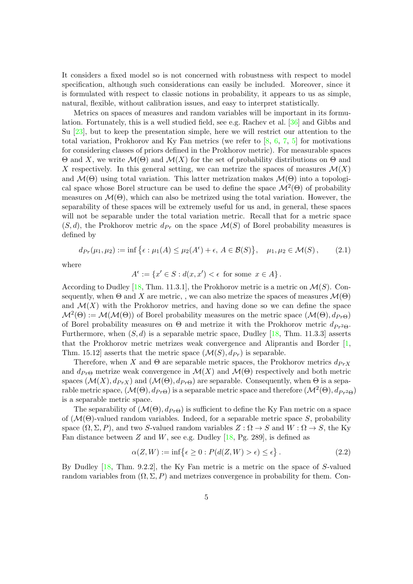It considers a fixed model so is not concerned with robustness with respect to model specification, although such considerations can easily be included. Moreover, since it is formulated with respect to classic notions in probability, it appears to us as simple, natural, flexible, without calibration issues, and easy to interpret statistically.

Metrics on spaces of measures and random variables will be important in its formulation. Fortunately, this is a well studied field, see e.g. Rachev et al. [\[36\]](#page-25-10) and Gibbs and Su [\[23\]](#page-25-3), but to keep the presentation simple, here we will restrict our attention to the total variation, Prokhorov and Ky Fan metrics (we refer to  $[8, 6, 7, 5]$  $[8, 6, 7, 5]$  $[8, 6, 7, 5]$  $[8, 6, 7, 5]$  $[8, 6, 7, 5]$  $[8, 6, 7, 5]$  $[8, 6, 7, 5]$  for motivations for considering classes of priors defined in the Prokhorov metric). For measurable spaces Θ and X, we write M(Θ) and M(X) for the set of probability distributions on Θ and X respectively. In this general setting, we can metrize the spaces of measures  $\mathcal{M}(X)$ and  $\mathcal{M}(\Theta)$  using total variation. This latter metrization makes  $\mathcal{M}(\Theta)$  into a topological space whose Borel structure can be used to define the space  $\mathcal{M}^2(\Theta)$  of probability measures on  $\mathcal{M}(\Theta)$ , which can also be metrized using the total variation. However, the separability of these spaces will be extremely useful for us and, in general, these spaces will not be separable under the total variation metric. Recall that for a metric space  $(S, d)$ , the Prokhorov metric  $d_{Pr}$  on the space  $\mathcal{M}(S)$  of Borel probability measures is defined by

$$
d_{Pr}(\mu_1, \mu_2) := \inf \left\{ \epsilon : \mu_1(A) \le \mu_2(A^{\epsilon}) + \epsilon, A \in \mathcal{B}(S) \right\}, \quad \mu_1, \mu_2 \in \mathcal{M}(S), \tag{2.1}
$$

where

$$
A^{\epsilon} := \{ x' \in S : d(x, x') < \epsilon \text{ for some } x \in A \}.
$$

According to Dudley [\[18,](#page-24-8) Thm. 11.3.1], the Prokhorov metric is a metric on  $\mathcal{M}(S)$ . Consequently, when  $\Theta$  and X are metric, , we can also metrize the spaces of measures  $\mathcal{M}(\Theta)$ and  $\mathcal{M}(X)$  with the Prokhorov metrics, and having done so we can define the space  $\mathcal{M}^2(\Theta) := \mathcal{M}(\mathcal{M}(\Theta))$  of Borel probability measures on the metric space  $(\mathcal{M}(\Theta), d_{Pr\Theta})$ of Borel probability measures on  $\Theta$  and metrize it with the Prokhorov metric  $d_{Pr^2\Theta}$ . Furthermore, when  $(S, d)$  is a separable metric space, Dudley [\[18,](#page-24-8) Thm. 11.3.3] asserts that the Prokhorov metric metrizes weak convergence and Aliprantis and Border [\[1,](#page-23-3) Thm. 15.12 asserts that the metric space  $(\mathcal{M}(S), dp_r)$  is separable.

Therefore, when X and  $\Theta$  are separable metric spaces, the Prokhorov metrics  $d_{PrX}$ and  $d_{Pr\Theta}$  metrize weak convergence in  $\mathcal{M}(X)$  and  $\mathcal{M}(\Theta)$  respectively and both metric spaces  $(\mathcal{M}(X), d_{PrX})$  and  $(\mathcal{M}(\Theta), d_{Pr\Theta})$  are separable. Consequently, when  $\Theta$  is a separable metric space,  $(\mathcal{M}(\Theta), d_{Pr\Theta})$  is a separable metric space and therefore  $(\mathcal{M}^2(\Theta), d_{Pr^2\Theta})$ is a separable metric space.

The separability of  $(M(\Theta), d_{Pr\Theta})$  is sufficient to define the Ky Fan metric on a space of  $(M(\Theta))$ -valued random variables. Indeed, for a separable metric space S, probability space  $(\Omega, \Sigma, P)$ , and two S-valued random variables  $Z : \Omega \to S$  and  $W : \Omega \to S$ , the Ky Fan distance between  $Z$  and  $W$ , see e.g. Dudley [\[18,](#page-24-8) Pg. 289], is defined as

<span id="page-4-0"></span>
$$
\alpha(Z, W) := \inf \{ \epsilon \ge 0 : P(d(Z, W) > \epsilon) \le \epsilon \}. \tag{2.2}
$$

By Dudley [\[18,](#page-24-8) Thm. 9.2.2], the Ky Fan metric is a metric on the space of S-valued random variables from  $(\Omega, \Sigma, P)$  and metrizes convergence in probability for them. Con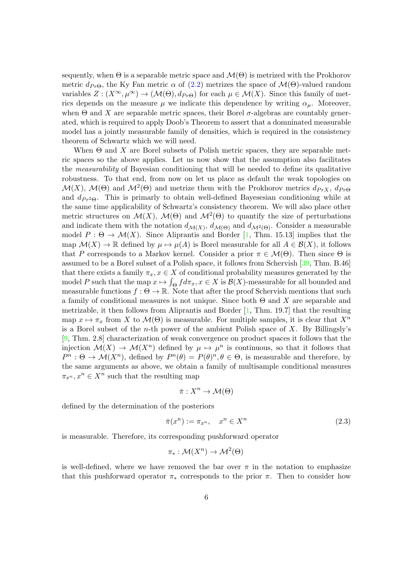sequently, when  $\Theta$  is a separable metric space and  $\mathcal{M}(\Theta)$  is metrized with the Prokhorov metric  $d_{P_{T}\Theta}$ , the Ky Fan metric  $\alpha$  of [\(2.2\)](#page-4-0) metrizes the space of  $\mathcal{M}(\Theta)$ -valued random variables  $Z: (X^{\infty}, \mu^{\infty}) \to (\mathcal{M}(\Theta), d_{Pr\Theta})$  for each  $\mu \in \mathcal{M}(X)$ . Since this family of metrics depends on the measure  $\mu$  we indicate this dependence by writing  $\alpha_{\mu}$ . Moreover, when  $\Theta$  and X are separable metric spaces, their Borel  $\sigma$ -algebras are countably generated, which is required to apply Doob's Theorem to assert that a domninated measurable model has a jointly measurable family of densities, which is required in the consistency theorem of Schwartz which we will need.

When  $\Theta$  and X are Borel subsets of Polish metric spaces, they are separable metric spaces so the above applies. Let us now show that the assumption also facilitates the measurability of Bayesian conditioning that will be needed to define its qualitative robustness. To that end, from now on let us place as default the weak topologies on  $\mathcal{M}(X)$ ,  $\mathcal{M}(\Theta)$  and  $\mathcal{M}^2(\Theta)$  and metrize them with the Prokhorov metrics  $d_{PrX}$ ,  $d_{Pr\Theta}$ and  $d_{Pr^2\Theta}$ . This is primarly to obtain well-defined Bayesesian conditioning while at the same time applicability of Schwartz's consistency theorem. We will also place other metric structures on  $\mathcal{M}(X)$ ,  $\mathcal{M}(\Theta)$  and  $\mathcal{M}^2(\Theta)$  to quantify the size of perturbations and indicate them with the notation  $d_{\mathcal{M}(X)}$ ,  $d_{\mathcal{M}(\Theta)}$  and  $d_{\mathcal{M}^2(\Theta)}$ . Consider a measurable model  $P : \Theta \to \mathcal{M}(X)$ . Since Aliprantis and Border [\[1,](#page-23-3) Thm. 15.13] implies that the map  $\mathcal{M}(X) \to \mathbb{R}$  defined by  $\mu \mapsto \mu(A)$  is Borel measurable for all  $A \in \mathcal{B}(X)$ , it follows that P corresponds to a Markov kernel. Consider a prior  $\pi \in \mathcal{M}(\Theta)$ . Then since  $\Theta$  is assumed to be a Borel subset of a Polish space, it follows from Schervish [\[39,](#page-26-5) Thm. B.46] that there exists a family  $\pi_x, x \in X$  of conditional probability measures generated by the model P such that the map  $x \mapsto \int_{\Theta} f d\pi_x, x \in X$  is  $\mathcal{B}(X)$ -measurable for all bounded and measurable functions  $f : \Theta \to \mathbb{R}$ . Note that after the proof Schervish mentions that such a family of conditional measures is not unique. Since both  $\Theta$  and X are separable and metrizable, it then follows from Aliprantis and Border [\[1,](#page-23-3) Thm. 19.7] that the resulting map  $x \mapsto \pi_x$  from X to  $\mathcal{M}(\Theta)$  is measurable. For multiple samples, it is clear that  $X^n$ is a Borel subset of the *n*-th power of the ambient Polish space of  $X$ . By Billingsly's [\[9,](#page-24-9) Thm. 2.8] characterization of weak convergence on product spaces it follows that the injection  $\mathcal{M}(X) \to \mathcal{M}(X^n)$  defined by  $\mu \mapsto \mu^n$  is continuous, so that it follows that  $P^n: \Theta \to \mathcal{M}(X^n)$ , defined by  $P^n(\theta) = P(\theta)^n, \theta \in \Theta$ , is measurable and therefore, by the same arguments as above, we obtain a family of multisample conditional measures  $\pi_{x^n}, x^n \in X^n$  such that the resulting map

$$
\bar{\pi}: X^n \to \mathcal{M}(\Theta)
$$

defined by the determination of the posteriors

<span id="page-5-0"></span>
$$
\bar{\pi}(x^n) := \pi_{x^n}, \quad x^n \in X^n \tag{2.3}
$$

is measurable. Therefore, its corresponding pushforward operator

$$
\pi_*: \mathcal{M}(X^n) \to \mathcal{M}^2(\Theta)
$$

is well-defined, where we have removed the bar over  $\pi$  in the notation to emphasize that this pushforward operator  $\pi_*$  corresponds to the prior  $\pi$ . Then to consider how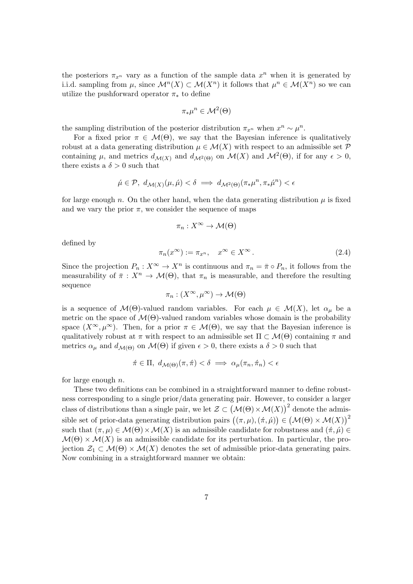the posteriors  $\pi_{x^n}$  vary as a function of the sample data  $x^n$  when it is generated by i.i.d. sampling from  $\mu$ , since  $\mathcal{M}^n(X) \subset \mathcal{M}(X^n)$  it follows that  $\mu^n \in \mathcal{M}(X^n)$  so we can utilize the pushforward operator  $\pi_*$  to define

$$
\pi_*\mu^n\in\mathcal{M}^2(\Theta)
$$

the sampling distribution of the posterior distribution  $\pi_{x^n}$  when  $x^n \sim \mu^n$ .

For a fixed prior  $\pi \in \mathcal{M}(\Theta)$ , we say that the Bayesian inference is qualitatively robust at a data generating distribution  $\mu \in \mathcal{M}(X)$  with respect to an admissible set  $\mathcal P$ containing  $\mu$ , and metrics  $d_{\mathcal{M}(X)}$  and  $d_{\mathcal{M}^2(\Theta)}$  on  $\mathcal{M}(X)$  and  $\mathcal{M}^2(\Theta)$ , if for any  $\epsilon > 0$ , there exists a  $\delta > 0$  such that

$$
\acute{\mu} \in \mathcal{P}, \ d_{\mathcal{M}(X)}(\mu, \acute{\mu}) < \delta \implies d_{\mathcal{M}^2(\Theta)}(\pi_* \mu^n, \pi_* \acute{\mu}^n) < \epsilon
$$

for large enough n. On the other hand, when the data generating distribution  $\mu$  is fixed and we vary the prior  $\pi$ , we consider the sequence of maps

$$
\pi_n: X^{\infty} \to \mathcal{M}(\Theta)
$$

defined by

<span id="page-6-0"></span>
$$
\pi_n(x^{\infty}) := \pi_{x^n}, \quad x^{\infty} \in X^{\infty}.
$$
\n(2.4)

Since the projection  $P_n: X^{\infty} \to X^n$  is continuous and  $\pi_n = \overline{\pi} \circ P_n$ , it follows from the measurability of  $\bar{\pi}: X^n \to \mathcal{M}(\Theta)$ , that  $\pi_n$  is measurable, and therefore the resulting sequence

$$
\pi_n : (X^{\infty}, \mu^{\infty}) \to \mathcal{M}(\Theta)
$$

is a sequence of  $\mathcal{M}(\Theta)$ -valued random variables. For each  $\mu \in \mathcal{M}(X)$ , let  $\alpha_{\mu}$  be a metric on the space of  $\mathcal{M}(\Theta)$ -valued random variables whose domain is the probability space  $(X^{\infty}, \mu^{\infty})$ . Then, for a prior  $\pi \in \mathcal{M}(\Theta)$ , we say that the Bayesian inference is qualitatively robust at  $\pi$  with respect to an admissible set  $\Pi \subset \mathcal{M}(\Theta)$  containing  $\pi$  and metrics  $\alpha_{\mu}$  and  $d_{\mathcal{M}(\Theta)}$  on  $\mathcal{M}(\Theta)$  if given  $\epsilon > 0$ , there exists a  $\delta > 0$  such that

$$
\acute{\pi} \in \Pi, \ d_{\mathcal{M}(\Theta)}(\pi, \acute{\pi}) < \delta \implies \alpha_{\mu}(\pi_n, \acute{\pi}_n) < \epsilon
$$

for large enough  $n$ .

These two definitions can be combined in a straightforward manner to define robustness corresponding to a single prior/data generating pair. However, to consider a larger class of distributions than a single pair, we let  $\mathcal{Z} \subset (\mathcal{M}(\Theta) \times \mathcal{M}(X))^2$  denote the admissible set of prior-data generating distribution pairs  $((\pi, \mu), (\pi, \hat{\mu})) \in (\mathcal{M}(\Theta) \times \mathcal{M}(X))^2$ such that  $(\pi, \mu) \in \mathcal{M}(\Theta) \times \mathcal{M}(X)$  is an admissible candidate for robustness and  $(\pi, \mu) \in$  $\mathcal{M}(\Theta) \times \mathcal{M}(X)$  is an admissible candidate for its perturbation. In particular, the projection  $\mathcal{Z}_1 \subset \mathcal{M}(\Theta) \times \mathcal{M}(X)$  denotes the set of admissible prior-data generating pairs. Now combining in a straightforward manner we obtain: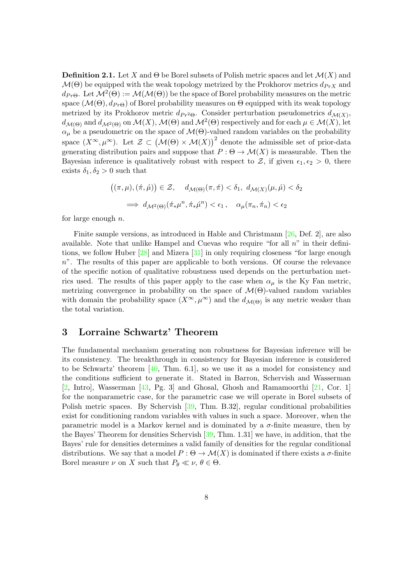<span id="page-7-1"></span>**Definition 2.1.** Let X and  $\Theta$  be Borel subsets of Polish metric spaces and let  $\mathcal{M}(X)$  and  $\mathcal{M}(\Theta)$  be equipped with the weak topology metrized by the Prokhorov metrics  $d_{PrX}$  and  $d_{Pr\Theta}$ . Let  $\mathcal{M}^2(\Theta) := \mathcal{M}(\mathcal{M}(\Theta))$  be the space of Borel probability measures on the metric space  $(\mathcal{M}(\Theta), d_{Pr\Theta})$  of Borel probability measures on  $\Theta$  equipped with its weak topology metrized by its Prokhorov metric  $d_{Pr^2\Theta}$ . Consider perturbation pseudometrics  $d_{\mathcal{M}(X)}$ ,  $d_{\mathcal{M}(\Theta)}$  and  $d_{\mathcal{M}^2(\Theta)}$  on  $\mathcal{M}(X)$ ,  $\mathcal{M}(\Theta)$  and  $\mathcal{M}^2(\Theta)$  respectively and for each  $\mu \in \mathcal{M}(X)$ , let  $\alpha_{\mu}$  be a pseudometric on the space of  $\mathcal{M}(\Theta)$ -valued random variables on the probability space  $(X^{\infty}, \mu^{\infty})$ . Let  $\mathcal{Z} \subset (\mathcal{M}(\Theta) \times \mathcal{M}(X))^2$  denote the admissible set of prior-data generating distribution pairs and suppose that  $P: \Theta \to \mathcal{M}(X)$  is measurable. Then the Bayesian inference is qualitatively robust with respect to  $\mathcal{Z}$ , if given  $\epsilon_1, \epsilon_2 > 0$ , there exists  $\delta_1, \delta_2 > 0$  such that

$$
((\pi,\mu),(\acute{\pi},\acute{\mu})) \in \mathcal{Z}, \quad d_{\mathcal{M}(\Theta)}(\pi,\acute{\pi}) < \delta_1, \ d_{\mathcal{M}(X)}(\mu,\acute{\mu}) < \delta_2
$$
\n
$$
\implies d_{\mathcal{M}^2(\Theta)}(\acute{\pi}_*\mu^n, \acute{\pi}_*\acute{\mu}^n) < \epsilon_1, \quad \alpha_\mu(\pi_n, \acute{\pi}_n) < \epsilon_2
$$

for large enough  $n$ .

Finite sample versions, as introduced in Hable and Christmann [\[26,](#page-25-11) Def. 2], are also available. Note that unlike Hampel and Cuevas who require "for all  $n$ " in their definitions, we follow Huber [\[28\]](#page-25-12) and Mizera [\[31\]](#page-25-13) in only requiring closeness "for large enough  $n^{\prime\prime}$ . The results of this paper are applicable to both versions. Of course the relevance of the specific notion of qualitative robustness used depends on the perturbation metrics used. The results of this paper apply to the case when  $\alpha_{\mu}$  is the Ky Fan metric, metrizing convergence in probability on the space of  $\mathcal{M}(\Theta)$ -valued random variables with domain the probability space  $(X^{\infty}, \mu^{\infty})$  and the  $d_{\mathcal{M}(\Theta)}$  is any metric weaker than the total variation.

# <span id="page-7-0"></span>3 Lorraine Schwartz' Theorem

The fundamental mechanism generating non robustness for Bayesian inference will be its consistency. The breakthrough in consistency for Bayesian inference is considered to be Schwartz' theorem [\[40,](#page-26-6) Thm. 6.1], so we use it as a model for consistency and the conditions sufficient to generate it. Stated in Barron, Schervish and Wasserman [\[2,](#page-23-4) Intro], Wasserman [\[43,](#page-26-7) Pg. 3] and Ghosal, Ghosh and Ramamoorthi [\[21,](#page-24-10) Cor. 1] for the nonparametric case, for the parametric case we will operate in Borel subsets of Polish metric spaces. By Schervish [\[39,](#page-26-5) Thm. B.32], regular conditional probabilities exist for conditioning random variables with values in such a space. Moreover, when the parametric model is a Markov kernel and is dominated by a  $\sigma$ -finite measure, then by the Bayes' Theorem for densities Schervish [\[39,](#page-26-5) Thm. 1.31] we have, in addition, that the Bayes' rule for densities determines a valid family of densities for the regular conditional distributions. We say that a model  $P : \Theta \to \mathcal{M}(X)$  is dominated if there exists a  $\sigma$ -finite Borel measure  $\nu$  on X such that  $P_{\theta} \ll \nu, \theta \in \Theta$ .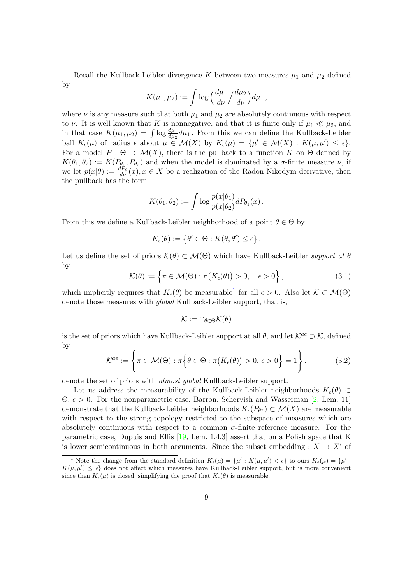Recall the Kullback-Leibler divergence K between two measures  $\mu_1$  and  $\mu_2$  defined by

$$
K(\mu_1, \mu_2) := \int \log \left( \frac{d\mu_1}{d\nu} / \frac{d\mu_2}{d\nu} \right) d\mu_1,
$$

where  $\nu$  is any measure such that both  $\mu_1$  and  $\mu_2$  are absolutely continuous with respect to  $\nu$ . It is well known that K is nonnegative, and that it is finite only if  $\mu_1 \ll \mu_2$ , and in that case  $K(\mu_1, \mu_2) = \int \log \frac{d\mu_1}{d\mu_2} d\mu_1$ . From this we can define the Kullback-Leibler ball  $K_{\epsilon}(\mu)$  of radius  $\epsilon$  about  $\mu \in \mathcal{M}(X)$  by  $K_{\epsilon}(\mu) = {\mu' \in \mathcal{M}(X) : K(\mu, \mu') \leq \epsilon}.$ For a model  $P : \Theta \to \mathcal{M}(X)$ , there is the pullback to a function K on  $\Theta$  defined by  $K(\theta_1, \theta_2) := K(P_{\theta_1}, P_{\theta_2})$  and when the model is dominated by a  $\sigma$ -finite measure  $\nu$ , if we let  $p(x|\theta) := \frac{dP_{\theta}}{dV}(x)$ ,  $x \in X$  be a realization of the Radon-Nikodym derivative, then the pullback has the form

$$
K(\theta_1, \theta_2) := \int \log \frac{p(x|\theta_1)}{p(x|\theta_2)} dP_{\theta_1}(x) .
$$

From this we define a Kullback-Leibler neighborhood of a point  $\theta \in \Theta$  by

$$
K_{\epsilon}(\theta) := \left\{ \theta' \in \Theta : K(\theta, \theta') \leq \epsilon \right\}.
$$

Let us define the set of priors  $\mathcal{K}(\theta) \subset \mathcal{M}(\Theta)$  which have Kullback-Leibler support at  $\theta$ by

<span id="page-8-1"></span>
$$
\mathcal{K}(\theta) := \left\{ \pi \in \mathcal{M}(\Theta) : \pi(K_{\epsilon}(\theta)) > 0, \quad \epsilon > 0 \right\},\tag{3.1}
$$

which implicitly requires that  $K_{\epsilon}(\theta)$  be measurable<sup>[1](#page-8-0)</sup> for all  $\epsilon > 0$ . Also let  $\mathcal{K} \subset \mathcal{M}(\Theta)$ denote those measures with *global* Kullback-Leibler support, that is,

$$
\mathcal{K}:=\cap_{\theta\in\Theta}\mathcal{K}(\theta)
$$

is the set of priors which have Kullback-Leibler support at all  $\theta$ , and let  $\mathcal{K}^{ae} \supset \mathcal{K}$ , defined by

$$
\mathcal{K}^{ae} := \left\{ \pi \in \mathcal{M}(\Theta) : \pi \Big\{ \theta \in \Theta : \pi \big( K_{\epsilon}(\theta) \big) > 0, \, \epsilon > 0 \right\} = 1 \right\},\tag{3.2}
$$

denote the set of priors with *almost global* Kullback-Leibler support.

Let us address the measurability of the Kullback-Leibler neighborhoods  $K_{\epsilon}(\theta) \subset$ Θ, > 0. For the nonparametric case, Barron, Schervish and Wasserman [\[2,](#page-23-4) Lem. 11] demonstrate that the Kullback-Leibler neighborhoods  $K_{\epsilon}(P_{\theta^*}) \subset \mathcal{M}(X)$  are measurable with respect to the strong topology restricted to the subspace of measures which are absolutely continuous with respect to a common  $\sigma$ -finite reference measure. For the parametric case, Dupuis and Ellis [\[19,](#page-24-11) Lem. 1.4.3] assert that on a Polish space that K is lower semicontinuous in both arguments. Since the subset embedding :  $X \to X'$  of

<span id="page-8-0"></span><sup>&</sup>lt;sup>1</sup> Note the change from the standard definition  $K_{\epsilon}(\mu) = {\mu' : K(\mu, \mu') < \epsilon}$  to ours  $K_{\epsilon}(\mu) = {\mu' : K(\mu, \mu') < \epsilon}$  $K(\mu, \mu') \leq \epsilon$  does not affect which measures have Kullback-Leibler support, but is more convenient since then  $K_{\epsilon}(\mu)$  is closed, simplifying the proof that  $K_{\epsilon}(\theta)$  is measurable.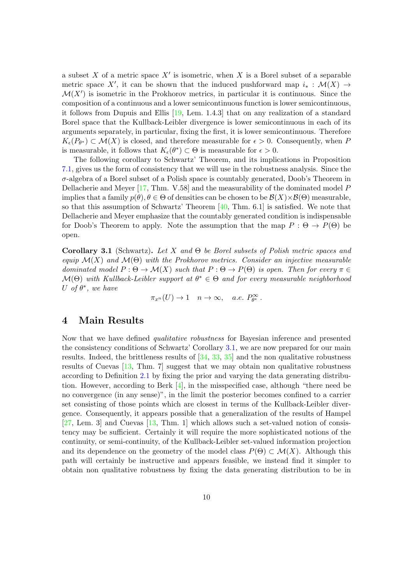a subset X of a metric space  $X'$  is isometric, when X is a Borel subset of a separable metric space X', it can be shown that the induced pushforward map  $i_* : \mathcal{M}(X) \to$  $\mathcal{M}(X')$  is isometric in the Prokhorov metrics, in particular it is continuous. Since the composition of a continuous and a lower semicontinuous function is lower semicontinuous, it follows from Dupuis and Ellis [\[19,](#page-24-11) Lem. 1.4.3] that on any realization of a standard Borel space that the Kullback-Leibler divergence is lower semicontinuous in each of its arguments separately, in particular, fixing the first, it is lower semicontinuous. Therefore  $K_{\epsilon}(P_{\theta^*}) \subset \mathcal{M}(X)$  is closed, and therefore measurable for  $\epsilon > 0$ . Consequently, when P is measurable, it follows that  $K_{\epsilon}(\theta^*) \subset \Theta$  is measurable for  $\epsilon > 0$ .

The following corollary to Schwartz' Theorem, and its implications in Proposition [7.1,](#page-20-0) gives us the form of consistency that we will use in the robustness analysis. Since the  $\sigma$ -algebra of a Borel subset of a Polish space is countably generated, Doob's Theorem in Dellacherie and Meyer [\[17,](#page-24-12) Thm. V.58] and the measurability of the dominated model P implies that a family  $p(\theta), \theta \in \Theta$  of densities can be chosen to be  $\mathcal{B}(X) \times \mathcal{B}(\Theta)$  measurable, so that this assumption of Schwartz' Theorem  $[40, Thm. 6.1]$  $[40, Thm. 6.1]$  is satisfied. We note that Dellacherie and Meyer emphasize that the countably generated condition is indispensable for Doob's Theorem to apply. Note the assumption that the map  $P : \Theta \to P(\Theta)$  be open.

<span id="page-9-0"></span>**Corollary 3.1** (Schwartz). Let X and  $\Theta$  be Borel subsets of Polish metric spaces and equip  $\mathcal{M}(X)$  and  $\mathcal{M}(\Theta)$  with the Prokhorov metrics. Consider an injective measurable dominated model  $P : \Theta \to \mathcal{M}(X)$  such that  $P : \Theta \to P(\Theta)$  is open. Then for every  $\pi \in$  $\mathcal{M}(\Theta)$  with Kullback-Leibler support at  $\theta^* \in \Theta$  and for every measurable neighborhood U of  $\theta^*$ , we have

 $\pi_{x^n}(U) \to 1 \quad n \to \infty$ , a.e.  $P_{\theta^*}^{\infty}$ .

### <span id="page-9-1"></span>4 Main Results

Now that we have defined qualitative robustness for Bayesian inference and presented the consistency conditions of Schwartz' Corollary [3.1,](#page-9-0) we are now prepared for our main results. Indeed, the brittleness results of [\[34,](#page-25-0) [33,](#page-25-1) [35\]](#page-25-2) and the non qualitative robustness results of Cuevas [\[13,](#page-24-3) Thm. 7] suggest that we may obtain non qualitative robustness according to Definition [2.1](#page-7-1) by fixing the prior and varying the data generating distribution. However, according to Berk [\[4\]](#page-23-5), in the misspecified case, although "there need be no convergence (in any sense)", in the limit the posterior becomes confined to a carrier set consisting of those points which are closest in terms of the Kullback-Leibler divergence. Consequently, it appears possible that a generalization of the results of Hampel [\[27,](#page-25-7) Lem. 3] and Cuevas [\[13,](#page-24-3) Thm. 1] which allows such a set-valued notion of consistency may be sufficient. Certainly it will require the more sophisticated notions of the continuity, or semi-continuity, of the Kullback-Leibler set-valued information projection and its dependence on the geometry of the model class  $P(\Theta) \subset \mathcal{M}(X)$ . Although this path will certainly be instructive and appears feasible, we instead find it simpler to obtain non qualitative robustness by fixing the data generating distribution to be in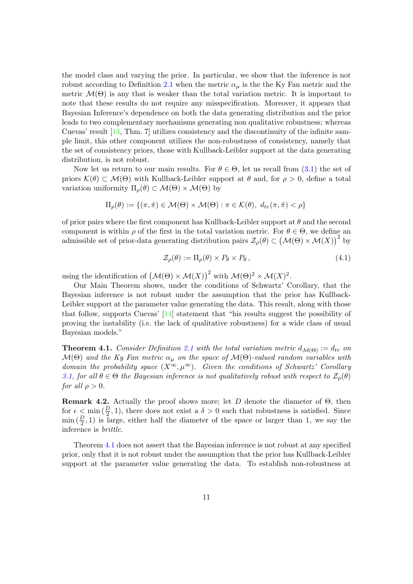the model class and varying the prior. In particular, we show that the inference is not robust according to Definition [2.1](#page-7-1) when the metric  $\alpha_{\mu}$  is the the Ky Fan metric and the metric  $\mathcal{M}(\Theta)$  is any that is weaker than the total variation metric. It is important to note that these results do not require any misspecification. Moreover, it appears that Bayesian Inference's dependence on both the data generating distribution and the prior leads to two complementary mechanisms generating non qualitative robustness; whereas Cuevas' result [\[13,](#page-24-3) Thm. 7] utilizes consistency and the discontinuity of the infinite sample limit, this other component utilizes the non-robustness of consistency, namely that the set of consistency priors, those with Kullback-Leibler support at the data generating distribution, is not robust.

Now let us return to our main results. For  $\theta \in \Theta$ , let us recall from [\(3.1\)](#page-8-1) the set of priors  $\mathcal{K}(\theta) \subset \mathcal{M}(\Theta)$  with Kullback-Leibler support at  $\theta$  and, for  $\rho > 0$ , define a total variation uniformity  $\Pi_{\rho}(\theta) \subset \mathcal{M}(\Theta) \times \mathcal{M}(\Theta)$  by

$$
\Pi_{\rho}(\theta) := \{ (\pi, \pi) \in \mathcal{M}(\Theta) \times \mathcal{M}(\Theta) : \pi \in \mathcal{K}(\theta), d_{tv}(\pi, \pi) < \rho \}
$$

of prior pairs where the first component has Kullback-Leibler support at  $\theta$  and the second component is within  $\rho$  of the first in the total variation metric. For  $\theta \in \Theta$ , we define an admissible set of prior-data generating distribution pairs  $\mathcal{Z}_{\rho}(\theta) \subset (\mathcal{M}(\Theta) \times \mathcal{M}(X))^2$  by

<span id="page-10-1"></span>
$$
\mathcal{Z}_{\rho}(\theta) := \Pi_{\rho}(\theta) \times P_{\theta} \times P_{\theta},\tag{4.1}
$$

using the identification of  $(M(\Theta) \times M(X))^2$  with  $M(\Theta)^2 \times M(X)^2$ .

Our Main Theorem shows, under the conditions of Schwartz' Corollary, that the Bayesian inference is not robust under the assumption that the prior has Kullback-Leibler support at the parameter value generating the data. This result, along with those that follow, supports Cuevas' [\[14\]](#page-24-13) statement that "his results suggest the possibility of proving the instability (i.e. the lack of qualitative robustness) for a wide class of usual Bayesian models."

<span id="page-10-0"></span>**Theorem 4.1.** Consider Definition [2.1](#page-7-1) with the total variation metric  $d_{\mathcal{M}(\Theta)} := d_{tv}$  on  $\mathcal{M}(\Theta)$  and the Ky Fan metric  $\alpha_{\mu}$  on the space of  $\mathcal{M}(\Theta)$ -valued random variables with domain the probability space  $(X^{\infty}, \mu^{\infty})$ . Given the conditions of Schwartz' Corollary [3.1,](#page-9-0) for all  $\theta \in \Theta$  the Bayesian inference is not qualitatively robust with respect to  $\mathcal{Z}_{\rho}(\theta)$ for all  $\rho > 0$ .

**Remark 4.2.** Actually the proof shows more; let D denote the diameter of  $\Theta$ , then for  $\epsilon \leq \min(\frac{D}{2}, 1)$ , there does not exist a  $\delta > 0$  such that robustness is satisfied. Since  $\min(\frac{D}{2}, 1)$  is large, either half the diameter of the space or larger than 1, we say the inference is brittle.

Theorem [4.1](#page-10-0) does not assert that the Bayesian inference is not robust at any specified prior, only that it is not robust under the assumption that the prior has Kullback-Leibler support at the parameter value generating the data. To establish non-robustness at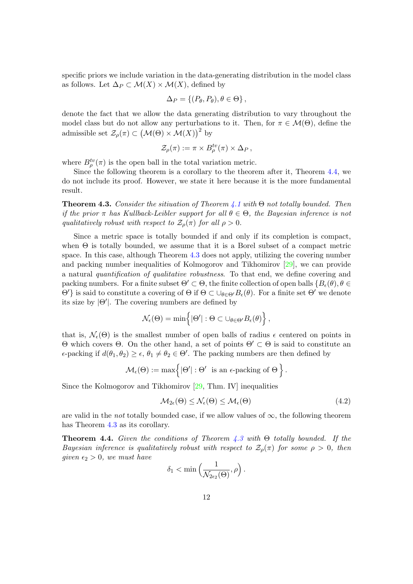specific priors we include variation in the data-generating distribution in the model class as follows. Let  $\Delta_P \subset \mathcal{M}(X) \times \mathcal{M}(X)$ , defined by

$$
\Delta_P = \{ (P_\theta, P_\theta), \theta \in \Theta \},
$$

denote the fact that we allow the data generating distribution to vary throughout the model class but do not allow any perturbations to it. Then, for  $\pi \in \mathcal{M}(\Theta)$ , define the admissible set  $\mathcal{Z}_{\rho}(\pi) \subset (\mathcal{M}(\Theta) \times \mathcal{M}(X))^2$  by

$$
\mathcal{Z}_{\rho}(\pi) := \pi \times B_{\rho}^{tv}(\pi) \times \Delta_P,
$$

where  $B_{\rho}^{tv}(\pi)$  is the open ball in the total variation metric.

Since the following theorem is a corollary to the theorem after it, Theorem [4.4,](#page-11-0) we do not include its proof. However, we state it here because it is the more fundamental result.

<span id="page-11-1"></span>**Theorem 4.3.** Consider the sitiuation of Theorem [4.1](#page-10-0) with  $\Theta$  not totally bounded. Then if the prior  $\pi$  has Kullback-Leibler support for all  $\theta \in \Theta$ , the Bayesian inference is not qualitatively robust with respect to  $\mathcal{Z}_{\rho}(\pi)$  for all  $\rho > 0$ .

Since a metric space is totally bounded if and only if its completion is compact, when  $\Theta$  is totally bounded, we assume that it is a Borel subset of a compact metric space. In this case, although Theorem [4.3](#page-11-1) does not apply, utilizing the covering number and packing number inequalities of Kolmogorov and Tikhomirov [\[29\]](#page-25-14), we can provide a natural quantification of qualitative robustness. To that end, we define covering and packing numbers. For a finite subset  $\Theta' \subset \Theta$ , the finite collection of open balls  $\{B_{\epsilon}(\theta), \theta \in$  $\Theta'$  is said to constitute a covering of  $\Theta$  if  $\Theta \subset \bigcup_{\theta \in \Theta'} B_{\epsilon}(\theta)$ . For a finite set  $\Theta'$  we denote its size by  $|\Theta'|$ . The covering numbers are defined by

$$
\mathcal{N}_{\epsilon}(\Theta) = \min \left\{ |\Theta'| : \Theta \subset \cup_{\theta \in \Theta'} B_{\epsilon}(\theta) \right\},\,
$$

that is,  $\mathcal{N}_{\epsilon}(\Theta)$  is the smallest number of open balls of radius  $\epsilon$  centered on points in  $\Theta$  which covers  $\Theta$ . On the other hand, a set of points  $\Theta' \subset \Theta$  is said to constitute an  $\epsilon$ -packing if  $d(\theta_1, \theta_2) \geq \epsilon$ ,  $\theta_1 \neq \theta_2 \in \Theta'$ . The packing numbers are then defined by

$$
\mathcal{M}_{\epsilon}(\Theta) := \max \Bigl\{ |\Theta'| : \Theta' \text{ is an } \epsilon\text{-packing of } \Theta \Bigr\} \, .
$$

Since the Kolmogorov and Tikhomirov [\[29,](#page-25-14) Thm. IV] inequalities

<span id="page-11-2"></span>
$$
\mathcal{M}_{2\epsilon}(\Theta) \le \mathcal{N}_{\epsilon}(\Theta) \le \mathcal{M}_{\epsilon}(\Theta) \tag{4.2}
$$

are valid in the *not* totally bounded case, if we allow values of  $\infty$ , the following theorem has Theorem  $4.3$  as its corollary.

<span id="page-11-0"></span>**Theorem 4.4.** Given the conditions of Theorem  $\angle A$ . 3 with  $\Theta$  totally bounded. If the Bayesian inference is qualitatively robust with respect to  $\mathcal{Z}_{\rho}(\pi)$  for some  $\rho > 0$ , then given  $\epsilon_2 > 0$ , we must have

$$
\delta_1 < \min\left(\frac{1}{\mathcal{N}_{2\epsilon_2}(\Theta)}, \rho\right).
$$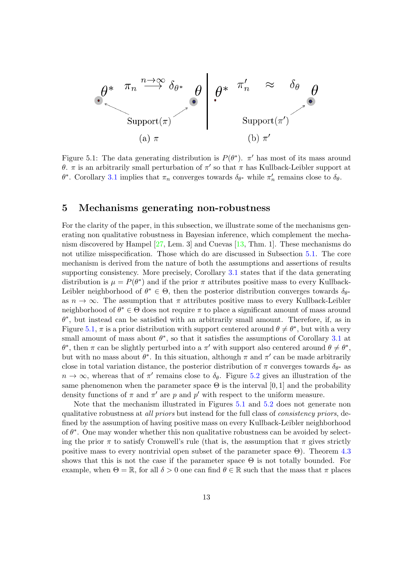

<span id="page-12-0"></span>Figure 5.1: The data generating distribution is  $P(\theta^*)$ .  $\pi'$  has most of its mass around θ. π is an arbitrarily small perturbation of π' so that π has Kullback-Leibler support at θ<sup>\*</sup>. Corollary [3.1](#page-9-0) implies that  $\pi_n$  converges towards  $\delta_{\theta^*}$  while  $\pi'_n$  remains close to  $\delta_{\theta}$ .

## 5 Mechanisms generating non-robustness

For the clarity of the paper, in this subsection, we illustrate some of the mechanisms generating non qualitative robustness in Bayesian inference, which complement the mechanism discovered by Hampel [\[27,](#page-25-7) Lem. 3] and Cuevas [\[13,](#page-24-3) Thm. 1]. These mechanisms do not utilize misspecification. Those which do are discussed in Subsection [5.1.](#page-13-0) The core mechanism is derived from the nature of both the assumptions and assertions of results supporting consistency. More precisely, Corollary [3.1](#page-9-0) states that if the data generating distribution is  $\mu = P(\theta^*)$  and if the prior  $\pi$  attributes positive mass to every Kullback-Leibler neighborhood of  $\theta^* \in \Theta$ , then the posterior distribution converges towards  $\delta_{\theta^*}$ as  $n \to \infty$ . The assumption that  $\pi$  attributes positive mass to every Kullback-Leibler neighborhood of  $\theta^* \in \Theta$  does not require  $\pi$  to place a significant amount of mass around  $\theta^*$ , but instead can be satisfied with an arbitrarily small amount. Therefore, if, as in Figure [5.1,](#page-12-0)  $\pi$  is a prior distribution with support centered around  $\theta \neq \theta^*$ , but with a very small amount of mass about  $\theta^*$ , so that it satisfies the assumptions of Corollary [3.1](#page-9-0) at  $\theta^*$ , then π can be slightly perturbed into a π' with support also centered around  $\theta \neq \theta^*$ , but with no mass about  $\theta^*$ . In this situation, although  $\pi$  and  $\pi'$  can be made arbitrarily close in total variation distance, the posterior distribution of  $\pi$  converges towards  $\delta_{\theta^*}$  as  $n \to \infty$ , whereas that of  $\pi'$  remains close to  $\delta_{\theta}$ . Figure [5.2](#page-13-1) gives an illustration of the same phenomenon when the parameter space  $\Theta$  is the interval [0, 1] and the probability density functions of  $\pi$  and  $\pi'$  are p and p' with respect to the uniform measure.

Note that the mechanism illustrated in Figures [5.1](#page-12-0) and [5.2](#page-13-1) does not generate non qualitative robustness at all priors but instead for the full class of consistency priors, defined by the assumption of having positive mass on every Kullback-Leibler neighborhood of  $\theta^*$ . One may wonder whether this non qualitative robustness can be avoided by selecting the prior  $\pi$  to satisfy Cromwell's rule (that is, the assumption that  $\pi$  gives strictly positive mass to every nontrivial open subset of the parameter space  $\Theta$ ). Theorem [4.3](#page-11-1) shows that this is not the case if the parameter space  $\Theta$  is not totally bounded. For example, when  $\Theta = \mathbb{R}$ , for all  $\delta > 0$  one can find  $\theta \in \mathbb{R}$  such that the mass that  $\pi$  places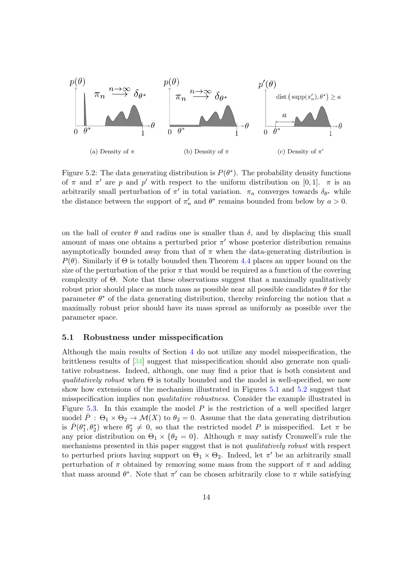

<span id="page-13-1"></span>Figure 5.2: The data generating distribution is  $P(\theta^*)$ . The probability density functions of  $\pi$  and  $\pi'$  are p and p' with respect to the uniform distribution on [0, 1].  $\pi$  is an arbitrarily small perturbation of  $\pi'$  in total variation.  $\pi_n$  converges towards  $\delta_{\theta^*}$  while the distance between the support of  $\pi'_n$  and  $\theta^*$  remains bounded from below by  $a > 0$ .

on the ball of center  $\theta$  and radius one is smaller than  $\delta$ , and by displacing this small amount of mass one obtains a perturbed prior  $\pi'$  whose posterior distribution remains asymptotically bounded away from that of  $\pi$  when the data-generating distribution is  $P(\theta)$ . Similarly if  $\Theta$  is totally bounded then Theorem [4.4](#page-11-0) places an upper bound on the size of the perturbation of the prior  $\pi$  that would be required as a function of the covering complexity of Θ. Note that these observations suggest that a maximally qualitatively robust prior should place as much mass as possible near all possible candidates  $\theta$  for the parameter  $\theta^*$  of the data generating distribution, thereby reinforcing the notion that a maximally robust prior should have its mass spread as uniformly as possible over the parameter space.

#### <span id="page-13-0"></span>5.1 Robustness under misspecification

Although the main results of Section [4](#page-9-1) do not utilize any model misspecification, the brittleness results of [\[34\]](#page-25-0) suggest that misspecification should also generate non qualitative robustness. Indeed, although, one may find a prior that is both consistent and qualitatively robust when  $\Theta$  is totally bounded and the model is well-specified, we now show how extensions of the mechanism illustrated in Figures [5.1](#page-12-0) and [5.2](#page-13-1) suggest that misspecification implies non qualitative robustness. Consider the example illustrated in Figure [5.3.](#page-14-0) In this example the model  $P$  is the restriction of a well specified larger model  $\overline{P}$ :  $\Theta_1 \times \Theta_2 \rightarrow \mathcal{M}(X)$  to  $\theta_2 = 0$ . Assume that the data generating distribution is  $\bar{P}(\theta_1^*, \theta_2^*)$  where  $\theta_2^* \neq 0$ , so that the restricted model P is misspecified. Let  $\pi$  be any prior distribution on  $\Theta_1 \times {\theta_2 = 0}$ . Although  $\pi$  may satisfy Cromwell's rule the mechanisms presented in this paper suggest that is not *qualitatively robust* with respect to perturbed priors having support on  $\Theta_1 \times \Theta_2$ . Indeed, let  $\pi'$  be an arbitrarily small perturbation of  $\pi$  obtained by removing some mass from the support of  $\pi$  and adding that mass around  $\theta^*$ . Note that  $\pi'$  can be chosen arbitrarily close to  $\pi$  while satisfying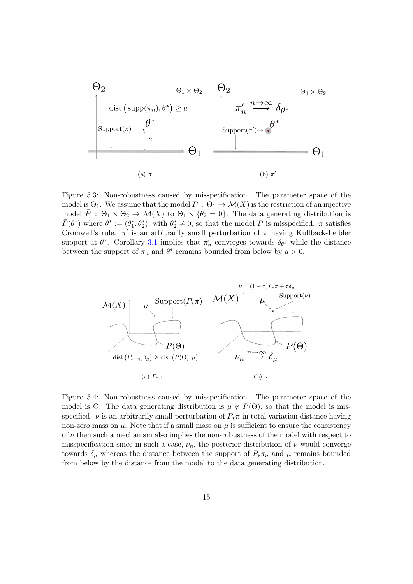

<span id="page-14-0"></span>Figure 5.3: Non-robustness caused by misspecification. The parameter space of the model is  $\Theta_1$ . We assume that the model  $P : \Theta_1 \to \mathcal{M}(X)$  is the restriction of an injective model  $\overline{P}$  :  $\Theta_1 \times \Theta_2 \to \mathcal{M}(X)$  to  $\Theta_1 \times {\theta_2 = 0}$ . The data generating distribution is  $\bar{P}(\theta^*)$  where  $\theta^* := (\theta_1^*, \theta_2^*)$ , with  $\theta_2^* \neq 0$ , so that the model P is misspecified.  $\pi$  satisfies Cromwell's rule.  $\pi'$  is an arbitrarily small perturbation of  $\pi$  having Kullback-Leibler support at  $\theta^*$ . Corollary [3.1](#page-9-0) implies that  $\pi'_n$  converges towards  $\delta_{\theta^*}$  while the distance between the support of  $\pi_n$  and  $\theta^*$  remains bounded from below by  $a > 0$ .



<span id="page-14-1"></span>Figure 5.4: Non-robustness caused by misspecification. The parameter space of the model is  $\Theta$ . The data generating distribution is  $\mu \notin P(\Theta)$ , so that the model is misspecified.  $\nu$  is an arbitrarily small perturbation of  $P_*\pi$  in total variation distance having non-zero mass on  $\mu$ . Note that if a small mass on  $\mu$  is sufficient to ensure the consistency of  $\nu$  then such a mechanism also implies the non-robustness of the model with respect to misspecification since in such a case,  $\nu_n$ , the posterior distribution of  $\nu$  would converge towards  $\delta_{\mu}$  whereas the distance between the support of  $P_{\ast} \pi_n$  and  $\mu$  remains bounded from below by the distance from the model to the data generating distribution.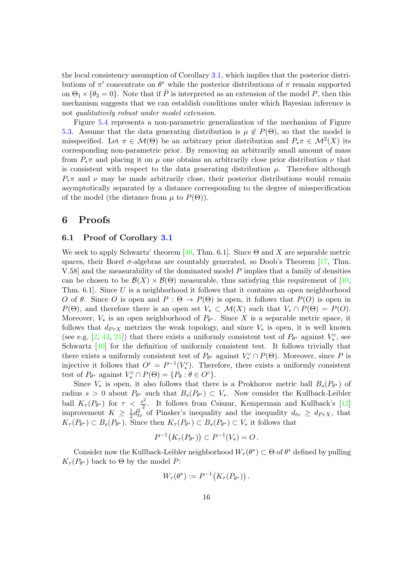the local consistency assumption of Corollary [3.1,](#page-9-0) which implies that the posterior distributions of  $\pi'$  concentrate on  $\theta^*$  while the posterior distributions of  $\pi$  remain supported on  $\Theta_1 \times {\theta_2 = 0}$ . Note that if  $\overline{P}$  is interpreted as an extension of the model P, then this mechanism suggests that we can establish conditions under which Bayesian inference is not qualitatively robust under model extension.

Figure [5.4](#page-14-1) represents a non-parametric generalization of the mechanism of Figure [5.3.](#page-14-0) Assume that the data generating distribution is  $\mu \notin P(\Theta)$ , so that the model is misspecified. Let  $\pi \in \mathcal{M}(\Theta)$  be an arbitrary prior distribution and  $P_*\pi \in \mathcal{M}^2(X)$  its corresponding non-parametric prior. By removing an arbitrarily small amount of mass from  $P_*\pi$  and placing it on  $\mu$  one obtains an arbitrarily close prior distribution  $\nu$  that is consistent with respect to the data generating distribution  $\mu$ . Therefore although  $P_{\ast}\pi$  and  $\nu$  may be made arbitrarily close, their posterior distributions would remain asymptotically separated by a distance corresponding to the degree of misspecification of the model (the distance from  $\mu$  to  $P(\Theta)$ ).

### 6 Proofs

#### 6.1 Proof of Corollary [3.1](#page-9-0)

We seek to apply Schwartz' theorem [\[40,](#page-26-6) Thm. 6.1]. Since  $\Theta$  and X are separable metric spaces, their Borel  $\sigma$ -algebras are countably generated, so Doob's Theorem [\[17,](#page-24-12) Thm. V.58] and the measurability of the dominated model P implies that a family of densities can be chosen to be  $\mathcal{B}(X) \times \mathcal{B}(\Theta)$  measurable, thus satisfying this requirement of [\[40,](#page-26-6) Thm. 6.1. Since U is a neighborhood it follows that it contains an open neighborhood O of  $\theta$ . Since O is open and  $P : \Theta \to P(\Theta)$  is open, it follows that  $P(O)$  is open in  $P(\Theta)$ , and therefore there is an open set  $V_* \subset \mathcal{M}(X)$  such that  $V_* \cap P(\Theta) = P(O)$ . Moreover,  $V_*$  is an open neighborhood of  $P_{\theta^*}$ . Since X is a separable metric space, it follows that  $d_{PrX}$  metrizes the weak topology, and since  $V_*$  is open, it is well known (see e.g. [\[2,](#page-23-4) [43,](#page-26-7) [21\]](#page-24-10)) that there exists a uniformly consistent test of  $P_{\theta^*}$  against  $V_*^c$ , see Schwartz [\[40\]](#page-26-6) for the definition of uniformly consistent test. It follows trivially that there exists a uniformly consistent test of  $P_{\theta^*}$  against  $V_*^c \cap P(\Theta)$ . Moreover, since P is injective it follows that  $O^c = P^{-1}(V_*^c)$ . Therefore, there exists a uniformly consistent test of  $P_{\theta^*}$  against  $V_*^c \cap P(\Theta) = \{P_{\theta} : \theta \in O^c\}.$ 

Since  $V_*$  is open, it also follows that there is a Prokhorov metric ball  $B_s(P_{\theta^*})$  of radius  $s > 0$  about  $P_{\theta^*}$  such that  $B_s(P_{\theta^*}) \subset V_*$ . Now consider the Kullback-Leibler ball  $K_{\tau}(P_{\theta^*})$  for  $\tau < \frac{s^2}{2}$  $\frac{3^2}{2}$ . It follows from Csiszar, Kemperman and Kullback's [\[12\]](#page-24-14) improvement  $K \geq \frac{1}{2}$  $\frac{1}{2}d_{tv}^2$  of Pinsker's inequality and the inequality  $d_{tv} \geq d_{PrX}$ , that  $K_{\tau}(P_{\theta^*}) \subset B_s(P_{\theta^*})$ . Since then  $K_{\tau}(P_{\theta^*}) \subset B_s(P_{\theta^*}) \subset V_*$  it follows that

$$
P^{-1}(K_{\tau}(P_{\theta^*})) \subset P^{-1}(V_*) = O.
$$

Consider now the Kullback-Leibler neighborhood  $W_{\tau}(\theta^*) \subset \Theta$  of  $\theta^*$  defined by pulling  $K_{\tau}(P_{\theta^*})$  back to  $\Theta$  by the model P:

$$
W_{\tau}(\theta^*) := P^{-1}\big(K_{\tau}(P_{\theta^*})\big).
$$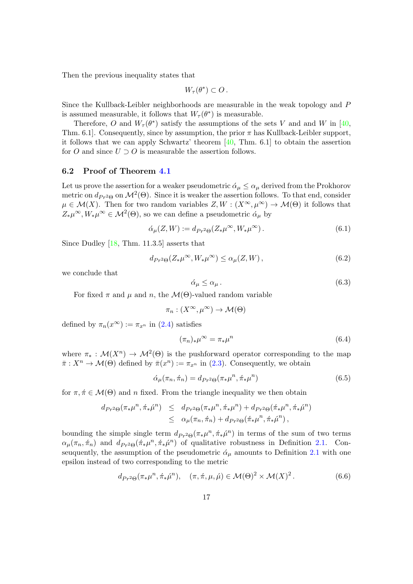Then the previous inequality states that

$$
W_\tau(\theta^*)\subset O\,.
$$

Since the Kullback-Leibler neighborhoods are measurable in the weak topology and P is assumed measurable, it follows that  $W_{\tau}(\theta^*)$  is measurable.

Therefore, O and  $W_{\tau}(\theta^*)$  satisfy the assumptions of the sets V and and W in [\[40,](#page-26-6) Thm. 6.1]. Consequently, since by assumption, the prior  $\pi$  has Kullback-Leibler support, it follows that we can apply Schwartz' theorem  $[40, Thm. 6.1]$  $[40, Thm. 6.1]$  to obtain the assertion for O and since  $U \supset O$  is measurable the assertion follows.

#### 6.2 Proof of Theorem [4.1](#page-10-0)

Let us prove the assertion for a weaker pseudometric  $\alpha_{\mu} \leq \alpha_{\mu}$  derived from the Prokhorov metric on  $d_{Pr^2\Theta}$  on  $\mathcal{M}^2(\Theta)$ . Since it is weaker the assertion follows. To that end, consider  $\mu \in \mathcal{M}(X)$ . Then for two random variables  $Z, W : (X^{\infty}, \mu^{\infty}) \to \mathcal{M}(\Theta)$  it follows that  $Z_*\mu^{\infty}, W_*\mu^{\infty} \in \mathcal{M}^2(\Theta)$ , so we can define a pseudometric  $\alpha_{\mu}$  by

$$
\acute{\alpha}_{\mu}(Z,W) := d_{Pr^2\Theta}(Z_*\mu^\infty, W_*\mu^\infty). \tag{6.1}
$$

Since Dudley [\[18,](#page-24-8) Thm. 11.3.5] asserts that

$$
d_{Pr^2\Theta}(Z_*\mu^\infty, W_*\mu^\infty) \le \alpha_\mu(Z, W),\tag{6.2}
$$

we conclude that

$$
\acute{\alpha}_{\mu} \le \alpha_{\mu} \,. \tag{6.3}
$$

For fixed  $\pi$  and  $\mu$  and n, the  $\mathcal{M}(\Theta)$ -valued random variable

$$
\pi_n : (X^{\infty}, \mu^{\infty}) \to \mathcal{M}(\Theta)
$$

defined by  $\pi_n(x^{\infty}) := \pi_{x^n}$  in [\(2.4\)](#page-6-0) satisfies

$$
(\pi_n)_*\mu^\infty = \pi_*\mu^n \tag{6.4}
$$

where  $\pi_* : \mathcal{M}(X^n) \to \mathcal{M}^2(\Theta)$  is the pushforward operator corresponding to the map  $\bar{\pi}: X^n \to \mathcal{M}(\Theta)$  defined by  $\bar{\pi}(x^n) := \pi_{x^n}$  in [\(2.3\)](#page-5-0). Consequently, we obtain

$$
\acute{\alpha}_{\mu}(\pi_n, \dot{\pi}_n) = d_{Pr^2\Theta}(\pi_*\mu^n, \dot{\pi}_*\mu^n) \tag{6.5}
$$

for  $\pi, \pi \in \mathcal{M}(\Theta)$  and n fixed. From the triangle inequality we then obtain

$$
d_{Pr^2\Theta}(\pi_*\mu^n, \pi_*\hat{\mu}^n) \leq d_{Pr^2\Theta}(\pi_*\mu^n, \pi_*\mu^n) + d_{Pr^2\Theta}(\pi_*\mu^n, \pi_*\hat{\mu}^n) \leq \alpha_\mu(\pi_n, \pi_n) + d_{Pr^2\Theta}(\pi_*\mu^n, \pi_*\hat{\mu}^n),
$$

bounding the simple single term  $d_{P_r^2\Theta}(\pi_*\mu^n, \pi_*\mu^n)$  in terms of the sum of two terms  $\alpha_{\mu}(\pi_n, \pi_n)$  and  $d_{Pr^2\Theta}(\pi_*\mu^n, \pi_*\mu^n)$  of qualitative robustness in Definition [2.1.](#page-7-1) Conseuquently, the assumption of the pseudometric  $\alpha_{\mu}$  amounts to Definition [2.1](#page-7-1) with one epsilon instead of two corresponding to the metric

<span id="page-16-0"></span>
$$
d_{Pr^2\Theta}(\pi_*\mu^n, \pi_*\mu^n), \quad (\pi, \pi, \mu, \mu) \in \mathcal{M}(\Theta)^2 \times \mathcal{M}(X)^2.
$$
 (6.6)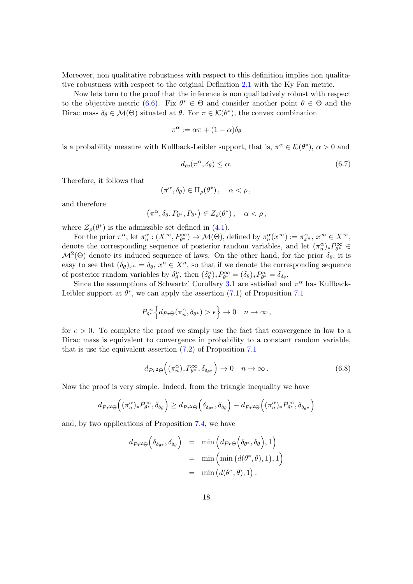Moreover, non qualitative robustness with respect to this definition implies non qualitative robustness with respect to the original Definition [2.1](#page-7-1) with the Ky Fan metric.

Now lets turn to the proof that the inference is non qualitatively robust with respect to the objective metric [\(6.6\)](#page-16-0). Fix  $\theta^* \in \Theta$  and consider another point  $\theta \in \Theta$  and the Dirac mass  $\delta_{\theta} \in \mathcal{M}(\Theta)$  situated at  $\theta$ . For  $\pi \in \mathcal{K}(\theta^*)$ , the convex combination

$$
\pi^{\alpha} := \alpha \pi + (1 - \alpha) \delta_{\theta}
$$

is a probability measure with Kullback-Leibler support, that is,  $\pi^{\alpha} \in \mathcal{K}(\theta^*)$ ,  $\alpha > 0$  and

<span id="page-17-1"></span>
$$
d_{tv}(\pi^{\alpha}, \delta_{\theta}) \le \alpha. \tag{6.7}
$$

Therefore, it follows that

$$
(\pi^{\alpha}, \delta_{\theta}) \in \Pi_{\rho}(\theta^*)\,, \quad \alpha < \rho\,,
$$

and therefore

$$
(\pi^{\alpha}, \delta_{\theta}, P_{\theta^*}, P_{\theta^*}) \in Z_{\rho}(\theta^*), \quad \alpha < \rho,
$$

where  $\mathcal{Z}_{\rho}(\theta^*)$  is the admissible set defined in [\(4.1\)](#page-10-1).

For the prior  $\pi^{\alpha}$ , let  $\pi^{\alpha}_n : (X^{\infty}, P^{\infty}_{\theta^*}) \to M(\Theta)$ , defined by  $\pi^{\alpha}_n(x^{\infty}) := \pi^{\alpha}_{x^n}, x^{\infty} \in X^{\infty}$ , denote the corresponding sequence of posterior random variables, and let  $(\pi_n^{\alpha})_* P_{\theta^*}^{\infty} \in$  $\mathcal{M}^2(\Theta)$  denote its induced sequence of laws. On the other hand, for the prior  $\delta_{\theta}$ , it is easy to see that  $(\delta_{\theta})_{x^n} = \delta_{\theta}, x^n \in X^n$ , so that if we denote the corresponding sequence of posterior random variables by  $\delta^n_{\theta}$ , then  $(\delta^n_{\theta})_* P^{\infty}_{\theta^*} = (\delta_{\theta})_* P^n_{\theta^*} = \delta_{\delta_{\theta}}$ .

Since the assumptions of Schwartz' Corollary [3.1](#page-9-0) are satisfied and  $\pi^{\alpha}$  has Kullback-Leibler support at  $\theta^*$ , we can apply the assertion  $(7.1)$  of Proposition [7.1](#page-20-0)

$$
P_{\theta^*}^{\infty} \Big\{ d_{\text{Pr}\Theta}(\pi_n^{\alpha}, \delta_{\theta^*}) > \epsilon \Big\} \to 0 \quad n \to \infty \,,
$$

for  $\epsilon > 0$ . To complete the proof we simply use the fact that convergence in law to a Dirac mass is equivalent to convergence in probability to a constant random variable, that is use the equivalent assertion [\(7.2\)](#page-21-0) of Proposition [7.1](#page-20-0)

<span id="page-17-0"></span>
$$
d_{Pr^2\Theta}\Big((\pi_n^{\alpha})_* P_{\theta^*}^{\infty}, \delta_{\delta_{\theta^*}}\Big) \to 0 \quad n \to \infty.
$$
 (6.8)

Now the proof is very simple. Indeed, from the triangle inequality we have

$$
d_{Pr^2\Theta}\Big((\pi_n^{\alpha})_*P_{\theta^*}^{\infty},\delta_{\delta_{\theta}}\Big)\geq d_{Pr^2\Theta}\Big(\delta_{\delta_{\theta^*}},\delta_{\delta_{\theta}}\Big)-d_{Pr^2\Theta}\Big((\pi_n^{\alpha})_*P_{\theta^*}^{\infty},\delta_{\delta_{\theta^*}}\Big)
$$

and, by two applications of Proposition [7.4,](#page-22-0) we have

$$
d_{Pr^2\Theta} \Big( \delta_{\delta_{\theta^*}}, \delta_{\delta_{\theta}} \Big) = \min \Big( d_{Pr\Theta} \Big( \delta_{\theta^*}, \delta_{\theta} \Big), 1 \Big) = \min \Big( \min \big( d(\theta^*, \theta), 1 \big), 1 \Big) = \min \big( d(\theta^*, \theta), 1 \big).
$$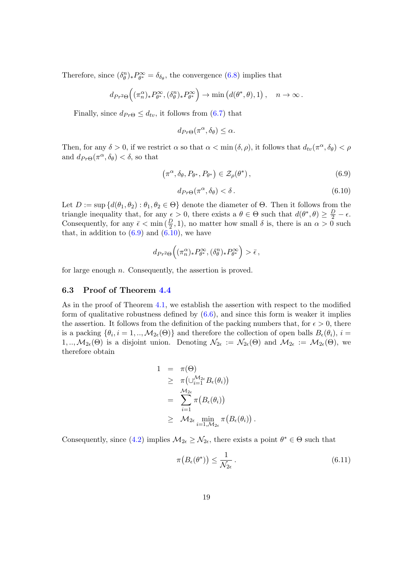Therefore, since  $(\delta_{\theta}^{n})_* P_{\theta^*}^{\infty} = \delta_{\delta_{\theta}}$ , the convergence [\(6.8\)](#page-17-0) implies that

$$
d_{Pr^2\Theta}\Big((\pi_n^{\alpha})_* P_{\theta^*}^{\infty}, (\delta_{\theta}^n)_* P_{\theta^*}^{\infty}\Big) \to \min\big(d(\theta^*, \theta), 1\big), \quad n \to \infty.
$$

Finally, since  $d_{Pr\Theta} \leq d_{tv}$ , it follows from [\(6.7\)](#page-17-1) that

$$
d_{Pr\Theta}(\pi^{\alpha}, \delta_{\theta}) \leq \alpha.
$$

Then, for any  $\delta > 0$ , if we restrict  $\alpha$  so that  $\alpha < \min(\delta, \rho)$ , it follows that  $d_{tv}(\pi^{\alpha}, \delta_{\theta}) < \rho$ and  $d_{Pr\Theta}(\pi^{\alpha}, \delta_{\theta}) < \delta$ , so that

<span id="page-18-0"></span>
$$
\left(\pi^{\alpha}, \delta_{\theta}, P_{\theta^*}, P_{\theta^*}\right) \in \mathcal{Z}_{\rho}(\theta^*),\tag{6.9}
$$

<span id="page-18-1"></span>
$$
d_{Pr\Theta}(\pi^{\alpha}, \delta_{\theta}) < \delta. \tag{6.10}
$$

Let  $D := \sup \{d(\theta_1, \theta_2) : \theta_1, \theta_2 \in \Theta\}$  denote the diameter of  $\Theta$ . Then it follows from the triangle inequality that, for any  $\epsilon > 0$ , there exists a  $\theta \in \Theta$  such that  $d(\theta^*, \theta) \geq \frac{D}{2} - \epsilon$ . Consequently, for any  $\bar{\epsilon} < \min(\frac{D}{2}, 1)$ , no matter how small  $\delta$  is, there is an  $\alpha > 0$  such that, in addition to  $(6.9)$  and  $(6.10)$ , we have

$$
d_{Pr^2\Theta}\Big((\pi_n^{\alpha})_* P_{\theta^*}^{\infty}, (\delta_{\theta}^n)_* P_{\theta^*}^{\infty}\Big) > \bar{\epsilon},
$$

for large enough  $n$ . Consequently, the assertion is proved.

#### 6.3 Proof of Theorem [4.4](#page-11-0)

As in the proof of Theorem [4.1,](#page-10-0) we establish the assertion with respect to the modified form of qualitative robustness defined by  $(6.6)$ , and since this form is weaker it implies the assertion. It follows from the definition of the packing numbers that, for  $\epsilon > 0$ , there is a packing  $\{\theta_i, i = 1, ..., M_{2\epsilon}(\Theta)\}\$  and therefore the collection of open balls  $B_{\epsilon}(\theta_i), i =$ 1, ..,  $M_{2\epsilon}(\Theta)$  is a disjoint union. Denoting  $\mathcal{N}_{2\epsilon} := \mathcal{N}_{2\epsilon}(\Theta)$  and  $\mathcal{M}_{2\epsilon} := \mathcal{M}_{2\epsilon}(\Theta)$ , we therefore obtain

$$
\begin{array}{lcl} 1 & = & \pi(\Theta) \\ & \geq & \pi\big(\cup_{i=1}^{\mathcal{M}_{2\epsilon}}B_{\epsilon}(\theta_{i})\big) \\ & = & \sum_{i=1}^{\mathcal{M}_{2\epsilon}}\pi\big(B_{\epsilon}(\theta_{i})\big) \\ & \geq & \mathcal{M}_{2\epsilon}\min_{i=1,\mathcal{M}_{2\epsilon}}\pi\big(B_{\epsilon}(\theta_{i})\big) \end{array}
$$

Consequently, since [\(4.2\)](#page-11-2) implies  $\mathcal{M}_{2\epsilon} \geq \mathcal{N}_{2\epsilon}$ , there exists a point  $\theta^* \in \Theta$  such that

<span id="page-18-2"></span>
$$
\pi\big(B_{\epsilon}(\theta^*)\big) \le \frac{1}{\mathcal{N}_{2\epsilon}}\,. \tag{6.11}
$$

.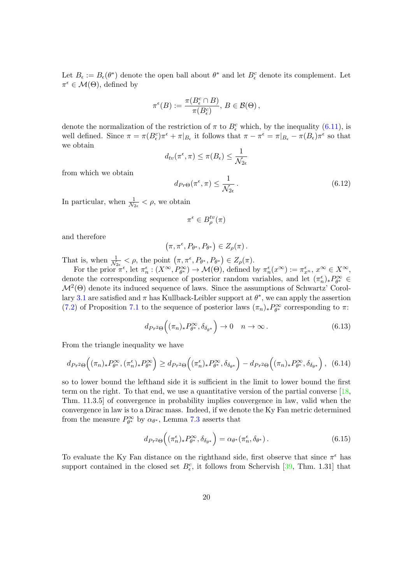Let  $B_{\epsilon} := B_{\epsilon}(\theta^*)$  denote the open ball about  $\theta^*$  and let  $B_{\epsilon}^c$  denote its complement. Let  $\pi^{\epsilon} \in \mathcal{M}(\Theta)$ , defined by

$$
\pi^{\epsilon}(B) := \frac{\pi(B_{\epsilon}^{c} \cap B)}{\pi(B_{\epsilon}^{c})}, B \in \mathcal{B}(\Theta),
$$

denote the normalization of the restriction of  $\pi$  to  $B_{\epsilon}^{c}$  which, by the inequality [\(6.11\)](#page-18-2), is well defined. Since  $\pi = \pi (B_\epsilon^c) \pi^\epsilon + \pi |_{B_\epsilon}$  it follows that  $\pi - \pi^\epsilon = \pi |_{B_\epsilon} - \pi (B_\epsilon) \pi^\epsilon$  so that we obtain

$$
d_{tv}(\pi^{\epsilon}, \pi) \leq \pi(B_{\epsilon}) \leq \frac{1}{\mathcal{N}_{2\epsilon}}
$$

from which we obtain

<span id="page-19-3"></span> $d_{Pr\Theta}(\pi^{\epsilon}, \pi) \leq \frac{1}{\sqrt{\epsilon}}$  $\mathcal{N}_{2\epsilon}$  $(6.12)$ 

In particular, when  $\frac{1}{N_{2\epsilon}} < \rho$ , we obtain

$$
\pi^\epsilon \in B^{tv}_\rho(\pi)
$$

and therefore

$$
(\pi,\pi^{\epsilon},P_{\theta^*},P_{\theta^*})\in Z_{\rho}(\pi).
$$

That is, when  $\frac{1}{N_{2\epsilon}} < \rho$ , the point  $(\pi, \pi^{\epsilon}, P_{\theta^*}, P_{\theta^*}) \in Z_{\rho}(\pi)$ .

For the prior  $\pi^{\epsilon}$ , let  $\pi^{\epsilon}_n : (X^{\infty}, P_{\theta^*}^{\infty}) \to M(\Theta)$ , defined by  $\pi^{\epsilon}_n(x^{\infty}) := \pi^{\epsilon}_x, x^{\infty} \in X^{\infty}$ , denote the corresponding sequence of posterior random variables, and let  $(\pi_n^{\epsilon})_* P_{\theta^*}^{\infty} \in$  $\mathcal{M}^2(\Theta)$  denote its induced sequence of laws. Since the assumptions of Schwartz' Corol-lary [3.1](#page-9-0) are satisfied and  $\pi$  has Kullback-Leibler support at  $\theta^*$ , we can apply the assertion [\(7.2\)](#page-21-0) of Proposition [7.1](#page-20-0) to the sequence of posterior laws  $(\pi_n)_* P_{\theta^*}^{\infty}$  corresponding to  $\pi$ :

<span id="page-19-2"></span>
$$
d_{Pr^2\Theta}\Big((\pi_n)_* P_{\theta^*}^{\infty}, \delta_{\delta_{\theta^*}}\Big) \to 0 \quad n \to \infty.
$$
 (6.13)

From the triangle inequality we have

<span id="page-19-1"></span>
$$
d_{Pr^2\Theta}\Big((\pi_n)_* P_{\theta^*}^{\infty}, (\pi_n^{\epsilon})_* P_{\theta^*}^{\infty}\Big) \geq d_{Pr^2\Theta}\Big((\pi_n^{\epsilon})_* P_{\theta^*}^{\infty}, \delta_{\delta_{\theta^*}}\Big) - d_{Pr^2\Theta}\Big((\pi_n)_* P_{\theta^*}^{\infty}, \delta_{\delta_{\theta^*}}\Big), (6.14)
$$

so to lower bound the lefthand side it is sufficient in the limit to lower bound the first term on the right. To that end, we use a quantitative version of the partial converse [\[18,](#page-24-8) Thm. 11.3.5] of convergence in probability implies convergence in law, valid when the convergence in law is to a Dirac mass. Indeed, if we denote the Ky Fan metric determined from the measure  $P^{\infty}_{\theta^*}$  by  $\alpha_{\theta^*}$ , Lemma [7.3](#page-22-1) asserts that

<span id="page-19-0"></span>
$$
d_{Pr^2\Theta}\Big((\pi_n^{\epsilon})_* P_{\theta^*}^{\infty}, \delta_{\delta_{\theta^*}}\Big) = \alpha_{\theta^*}(\pi_n^{\epsilon}, \delta_{\theta^*}). \tag{6.15}
$$

To evaluate the Ky Fan distance on the righthand side, first observe that since  $\pi^{\epsilon}$  has support contained in the closed set  $B_{\epsilon}^{c}$ , it follows from Schervish [\[39,](#page-26-5) Thm. 1.31] that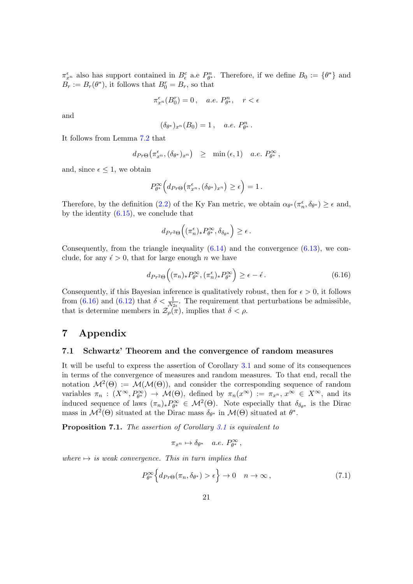$\pi_{x^n}^{\epsilon}$  also has support contained in  $B_{\epsilon}^c$  a.e  $P_{\theta^*}^n$ . Therefore, if we define  $B_0 := \{\theta^*\}$  and  $B_r := B_r(\theta^*),$  it follows that  $B_0^r = B_r$ , so that

$$
\pi_{x^n}^\epsilon(B_0^r)=0\,,\quad a.e.\,\,P_{\theta^*}^n,\quad r<\epsilon
$$

and

$$
(\delta_{\theta^*})_{x^n}(B_0) = 1, \quad a.e. P^n_{\theta^*}.
$$

It follows from Lemma [7.2](#page-22-2) that

$$
d_{Pr\Theta}(\pi_{x^n}^{\epsilon}, (\delta_{\theta^*})_{x^n}) \geq \min(\epsilon, 1) \quad a.e. \ P_{\theta^*}^{\infty},
$$

and, since  $\epsilon \leq 1$ , we obtain

$$
P_{\theta^*}^{\infty}\Big(d_{Pr\Theta}\big(\pi_{x^n}^{\epsilon},(\delta_{\theta^*})_{x^n}\big) \geq \epsilon\Big) = 1.
$$

Therefore, by the definition [\(2.2\)](#page-4-0) of the Ky Fan metric, we obtain  $\alpha_{\theta^*}(\pi_n^{\epsilon}, \delta_{\theta^*}) \geq \epsilon$  and, by the identity  $(6.15)$ , we conclude that

$$
d_{Pr^2\Theta}\Big((\pi_n^{\epsilon})_* P_{\theta^*}^{\infty}, \delta_{\delta_{\theta^*}}\Big) \geq \epsilon.
$$

Consequently, from the triangle inequality  $(6.14)$  and the convergence  $(6.13)$ , we conclude, for any  $\epsilon > 0$ , that for large enough n we have

<span id="page-20-2"></span>
$$
d_{Pr^2\Theta}\Big((\pi_n)_* P_{\theta^*}^{\infty}, (\pi_n^{\epsilon})_* P_{\theta^*}^{\infty}\Big) \ge \epsilon - \epsilon.
$$
\n(6.16)

Consequently, if this Bayesian inference is qualitatively robust, then for  $\epsilon > 0$ , it follows from [\(6.16\)](#page-20-2) and [\(6.12\)](#page-19-3) that  $\delta < \frac{1}{N_{2\epsilon}}$ . The requirement that perturbations be admissible, that is determine members in  $\mathcal{Z}_{\rho}^{\gamma_{2\epsilon}}(\pi)$ , implies that  $\delta < \rho$ .

# 7 Appendix

#### 7.1 Schwartz' Theorem and the convergence of random measures

It will be useful to express the assertion of Corollary [3.1](#page-9-0) and some of its consequences in terms of the convergence of measures and random measures. To that end, recall the notation  $\mathcal{M}^2(\Theta) := \mathcal{M}(\mathcal{M}(\Theta))$ , and consider the corresponding sequence of random variables  $\pi_n : (X^{\infty}, P^{\infty}_{\theta^*}) \to M(\Theta)$ , defined by  $\pi_n(x^{\infty}) := \pi_{x^n}, x^{\infty} \in X^{\infty}$ , and its induced sequence of laws  $(\pi_n)_* P_{\theta^*}^{\infty} \in M^2(\Theta)$ . Note especially that  $\delta_{\delta_{\theta^*}}$  is the Dirac mass in  $\mathcal{M}^2(\Theta)$  situated at the Dirac mass  $\delta_{\theta^*}$  in  $\mathcal{M}(\Theta)$  situated at  $\theta^*$ .

<span id="page-20-0"></span>Proposition 7.1. The assertion of Corollary [3.1](#page-9-0) is equivalent to

$$
\pi_{x^n} \mapsto \delta_{\theta^*} \quad a.e. \; P^\infty_{\theta^*} \,,
$$

where  $\rightarrow$  is weak convergence. This in turn implies that

<span id="page-20-1"></span>
$$
P_{\theta^*}^{\infty} \Big\{ d_{\text{Pr}\Theta}(\pi_n, \delta_{\theta^*}) > \epsilon \Big\} \to 0 \quad n \to \infty \,, \tag{7.1}
$$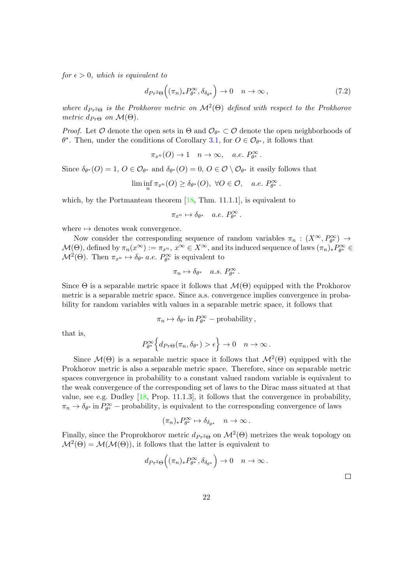for  $\epsilon > 0$ , which is equivalent to

<span id="page-21-0"></span>
$$
d_{Pr^2\Theta}\Big((\pi_n)_* P_{\theta^*}^{\infty}, \delta_{\delta_{\theta^*}}\Big) \to 0 \quad n \to \infty ,
$$
\n(7.2)

where  $d_{Pr^2\Theta}$  is the Prokhorov metric on  $\mathcal{M}^2(\Theta)$  defined with respect to the Prokhorov metric  $d_{Pr\Theta}$  on  $\mathcal{M}(\Theta)$ .

*Proof.* Let  $\mathcal O$  denote the open sets in  $\Theta$  and  $\mathcal O_{\theta^*} \subset \mathcal O$  denote the open neighborhoods of  $\theta^*$ . Then, under the conditions of Corollary [3.1,](#page-9-0) for  $O \in \mathcal{O}_{\theta^*}$ , it follows that

$$
\pi_{x^n}(O) \to 1 \quad n \to \infty, \quad a.e. \ P_{\theta^*}^{\infty}.
$$

Since  $\delta_{\theta^*}(O) = 1, O \in \mathcal{O}_{\theta^*}$  and  $\delta_{\theta^*}(O) = 0, O \in \mathcal{O} \setminus \mathcal{O}_{\theta^*}$  it easily follows that

$$
\liminf_{n} \pi_{x^n}(O) \ge \delta_{\theta^*}(O), \ \forall O \in \mathcal{O}, \quad a.e. \ P_{\theta^*}^{\infty}.
$$

which, by the Portmanteau theorem  $[18, Thm. 11.1.1]$  $[18, Thm. 11.1.1]$ , is equivalent to

$$
\pi_{x^n}\mapsto \delta_{\theta^*}\quad a.e.\ P^\infty_{\theta^*}\,.
$$

where  $\mapsto$  denotes weak convergence.

Now consider the corresponding sequence of random variables  $\pi_n : (X^{\infty}, P^{\infty}_{\theta^*}) \to$  $\mathcal{M}(\Theta)$ , defined by  $\pi_n(x^{\infty}) := \pi_{x^n}$ ,  $x^{\infty} \in X^{\infty}$ , and its induced sequence of laws  $(\pi_n)_* P^{\infty}_{\theta^*} \in$  $\mathcal{M}^2(\Theta)$ . Then  $\pi_{x^n} \mapsto \delta_{\theta^*}$  *a.e.*  $P_{\theta^*}^{\infty}$  is equivalent to

$$
\pi_n \mapsto \delta_{\theta^*} \quad a.s. \; P_{\theta^*}^{\infty} \, .
$$

Since  $\Theta$  is a separable metric space it follows that  $\mathcal{M}(\Theta)$  equipped with the Prokhorov metric is a separable metric space. Since a.s. convergence implies convergence in probability for random variables with values in a separable metric space, it follows that

$$
\pi_n \mapsto \delta_{\theta^*} \operatorname{in} P_{\theta^*}^{\infty} - \text{probability},
$$

that is,

$$
P^\infty_{\theta^*}\Big\{d_{Pr\Theta}(\pi_n,\delta_{\theta^*})>\epsilon\Big\}\to 0\quad n\to\infty\,.
$$

Since  $\mathcal{M}(\Theta)$  is a separable metric space it follows that  $\mathcal{M}^2(\Theta)$  equipped with the Prokhorov metric is also a separable metric space. Therefore, since on separable metric spaces convergence in probability to a constant valued random variable is equivalent to the weak convergence of the corresponding set of laws to the Dirac mass situated at that value, see e.g. Dudley  $[18,$  Prop. 11.1.3], it follows that the convergence in probability,  $\pi_n \to \delta_{\theta^*}$  in  $P_{\theta^*}^{\infty}$  – probability, is equivalent to the corresponding convergence of laws

$$
(\pi_n)_* P_{\theta^*}^\infty \mapsto \delta_{\delta_{\theta^*}} \quad n \to \infty \, .
$$

Finally, since the Proprokhorov metric  $d_{P_r^2\Theta}$  on  $\mathcal{M}^2(\Theta)$  metrizes the weak topology on  $\mathcal{M}^2(\Theta) = \mathcal{M}(\mathcal{M}(\Theta)),$  it follows that the latter is equivalent to

$$
d_{Pr^2\Theta}\Big((\pi_n)_* P_{\theta^*}^{\infty}, \delta_{\delta_{\theta^*}}\Big) \to 0 \quad n \to \infty.
$$

 $\Box$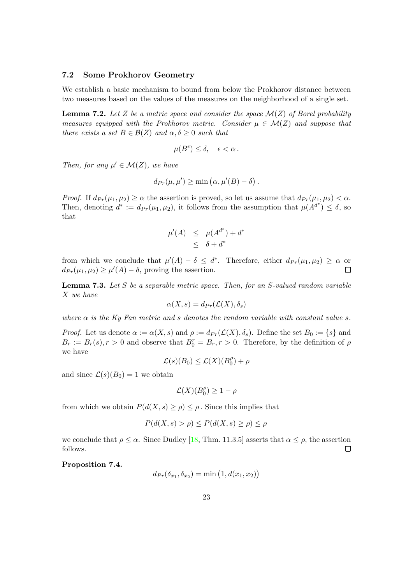#### 7.2 Some Prokhorov Geometry

We establish a basic mechanism to bound from below the Prokhorov distance between two measures based on the values of the measures on the neighborhood of a single set.

<span id="page-22-2"></span>**Lemma 7.2.** Let Z be a metric space and consider the space  $\mathcal{M}(Z)$  of Borel probability measures equipped with the Prokhorov metric. Consider  $\mu \in \mathcal{M}(Z)$  and suppose that there exists a set  $B \in \mathcal{B}(Z)$  and  $\alpha, \delta \geq 0$  such that

$$
\mu(B^{\epsilon}) \leq \delta, \quad \epsilon < \alpha \, .
$$

Then, for any  $\mu' \in \mathcal{M}(Z)$ , we have

$$
d_{Pr}(\mu, \mu') \ge \min(\alpha, \mu'(B) - \delta).
$$

*Proof.* If  $d_{Pr}(\mu_1, \mu_2) \ge \alpha$  the assertion is proved, so let us assume that  $d_{Pr}(\mu_1, \mu_2) < \alpha$ . Then, denoting  $d^* := d_{Pr}(\mu_1, \mu_2)$ , it follows from the assumption that  $\mu(A^{d^*}) \leq \delta$ , so that

$$
\mu'(A) \leq \mu(A^{d^*}) + d^*
$$
  

$$
\leq \delta + d^*
$$

from which we conclude that  $\mu'(A) - \delta \leq d^*$ . Therefore, either  $d_{Pr}(\mu_1, \mu_2) \geq \alpha$  or  $d_{Pr}(\mu_1, \mu_2) \geq \mu'(A) - \delta$ , proving the assertion.  $\Box$ 

<span id="page-22-1"></span>**Lemma 7.3.** Let S be a separable metric space. Then, for an S-valued random variable X we have

$$
\alpha(X,s) = d_{Pr}(\mathcal{L}(X), \delta_s)
$$

where  $\alpha$  is the Ky Fan metric and s denotes the random variable with constant value s.

*Proof.* Let us denote  $\alpha := \alpha(X, s)$  and  $\rho := d_{Pr}(\mathcal{L}(X), \delta_s)$ . Define the set  $B_0 := \{s\}$  and  $B_r := B_r(s), r > 0$  and observe that  $B_0^r = B_r, r > 0$ . Therefore, by the definition of  $\rho$ we have

$$
\mathcal{L}(s)(B_0) \le \mathcal{L}(X)(B_0^{\rho}) + \rho
$$

and since  $\mathcal{L}(s)(B_0) = 1$  we obtain

$$
\mathcal{L}(X)(B_0^{\rho}) \ge 1 - \rho
$$

from which we obtain  $P(d(X, s) \ge \rho) \le \rho$ . Since this implies that

$$
P(d(X, s) > \rho) \le P(d(X, s) \ge \rho) \le \rho
$$

we conclude that  $\rho \leq \alpha$ . Since Dudley [\[18,](#page-24-8) Thm. 11.3.5] asserts that  $\alpha \leq \rho$ , the assertion follows.  $\Box$ 

<span id="page-22-0"></span>Proposition 7.4.

$$
d_{Pr}(\delta_{x_1}, \delta_{x_2}) = \min(1, d(x_1, x_2))
$$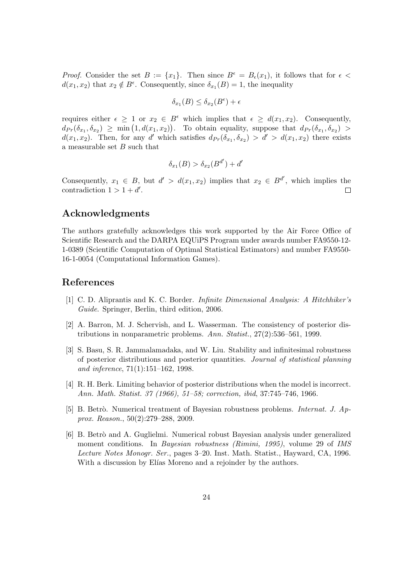*Proof.* Consider the set  $B := \{x_1\}$ . Then since  $B^{\epsilon} = B_{\epsilon}(x_1)$ , it follows that for  $\epsilon$  $d(x_1, x_2)$  that  $x_2 \notin B^{\epsilon}$ . Consequently, since  $\delta_{x_1}(B) = 1$ , the inequality

$$
\delta_{x_1}(B) \le \delta_{x_2}(B^{\epsilon}) + \epsilon
$$

requires either  $\epsilon \geq 1$  or  $x_2 \in B^{\epsilon}$  which implies that  $\epsilon \geq d(x_1, x_2)$ . Consequently,  $d_{Pr}(\delta_{x_1}, \delta_{x_2}) \geq \min(1, d(x_1, x_2)).$  To obtain equality, suppose that  $d_{Pr}(\delta_{x_1}, \delta_{x_2}) >$  $d(x_1, x_2)$ . Then, for any d' which satisfies  $d_{Pr}(\delta_{x_1}, \delta_{x_2}) > d' > d(x_1, x_2)$  there exists a measurable set  $B$  such that

$$
\delta_{x_1}(B) > \delta_{x_2}(B^{d'}) + d'
$$

Consequently,  $x_1 \in B$ , but  $d' > d(x_1, x_2)$  implies that  $x_2 \in B^{d'}$ , which implies the contradiction  $1 > 1 + d'$ .  $\Box$ 

# Acknowledgments

The authors gratefully acknowledges this work supported by the Air Force Office of Scientific Research and the DARPA EQUiPS Program under awards number FA9550-12- 1-0389 (Scientific Computation of Optimal Statistical Estimators) and number FA9550- 16-1-0054 (Computational Information Games).

### References

- <span id="page-23-3"></span>[1] C. D. Aliprantis and K. C. Border. Infinite Dimensional Analysis: A Hitchhiker's Guide. Springer, Berlin, third edition, 2006.
- <span id="page-23-4"></span>[2] A. Barron, M. J. Schervish, and L. Wasserman. The consistency of posterior distributions in nonparametric problems. Ann. Statist., 27(2):536–561, 1999.
- <span id="page-23-2"></span>[3] S. Basu, S. R. Jammalamadaka, and W. Liu. Stability and infinitesimal robustness of posterior distributions and posterior quantities. Journal of statistical planning and inference, 71(1):151–162, 1998.
- <span id="page-23-5"></span>[4] R. H. Berk. Limiting behavior of posterior distributions when the model is incorrect. Ann. Math. Statist. 37 (1966), 51–58; correction, ibid, 37:745–746, 1966.
- <span id="page-23-1"></span>[5] B. Betrò. Numerical treatment of Bayesian robustness problems. *Internat. J. Ap*prox. Reason., 50(2):279–288, 2009.
- <span id="page-23-0"></span>[6] B. Betrò and A. Guglielmi. Numerical robust Bayesian analysis under generalized moment conditions. In *Bayesian robustness (Rimini, 1995)*, volume 29 of *IMS* Lecture Notes Monogr. Ser., pages 3–20. Inst. Math. Statist., Hayward, CA, 1996. With a discussion by Elías Moreno and a rejoinder by the authors.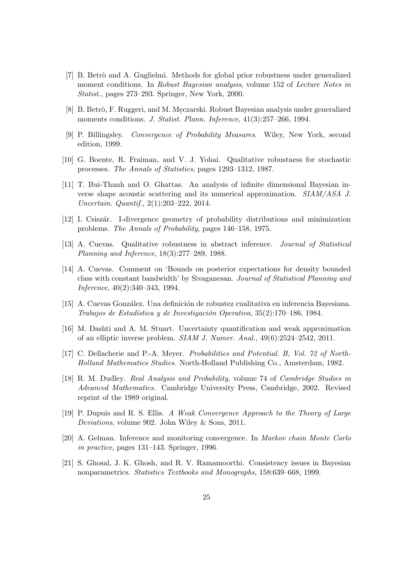- <span id="page-24-5"></span>[7] B. Betrò and A. Guglielmi. Methods for global prior robustness under generalized moment conditions. In Robust Bayesian analysis, volume 152 of Lecture Notes in Statist., pages 273–293. Springer, New York, 2000.
- <span id="page-24-4"></span>[8] B. Betrò, F. Ruggeri, and M. Meczarski. Robust Bayesian analysis under generalized<br>magnetic conditions  $I$ , Statist, Blann, Informac, 41(2):957, 966, 1004 moments conditions. J. Statist. Plann. Inference,  $41(3):257-266$ , 1994.
- <span id="page-24-9"></span>[9] P. Billingsley. Convergence of Probability Measures. Wiley, New York, second edition, 1999.
- <span id="page-24-6"></span>[10] G. Boente, R. Fraiman, and V. J. Yohai. Qualitative robustness for stochastic processes. The Annals of Statistics, pages 1293–1312, 1987.
- <span id="page-24-0"></span>[11] T. Bui-Thanh and O. Ghattas. An analysis of infinite dimensional Bayesian inverse shape acoustic scattering and its numerical approximation. SIAM/ASA J. Uncertain. Quantif., 2(1):203–222, 2014.
- <span id="page-24-14"></span>[12] I. Csisz´ar. I-divergence geometry of probability distributions and minimization problems. The Annals of Probability, pages 146–158, 1975.
- <span id="page-24-3"></span>[13] A. Cuevas. Qualitative robustness in abstract inference. Journal of Statistical Planning and Inference, 18(3):277–289, 1988.
- <span id="page-24-13"></span>[14] A. Cuevas. Comment on 'Bounds on posterior expectations for density bounded class with constant bandwidth' by Sivaganesan. Journal of Statistical Planning and Inference, 40(2):340–343, 1994.
- <span id="page-24-7"></span>[15] A. Cuevas González. Una definición de robustez cualitativa en inferencia Bayesiana. Trabajos de Estadística y de Investigación Operativa,  $35(2):170-186, 1984.$
- <span id="page-24-2"></span>[16] M. Dashti and A. M. Stuart. Uncertainty quantification and weak approximation of an elliptic inverse problem. SIAM J. Numer. Anal., 49(6):2524–2542, 2011.
- <span id="page-24-12"></span>[17] C. Dellacherie and P.-A. Meyer. Probabilities and Potential. B, Vol. 72 of North-Holland Mathematics Studies. North-Holland Publishing Co., Amsterdam, 1982.
- <span id="page-24-8"></span>[18] R. M. Dudley. Real Analysis and Probability, volume 74 of Cambridge Studies in Advanced Mathematics. Cambridge University Press, Cambridge, 2002. Revised reprint of the 1989 original.
- <span id="page-24-11"></span>[19] P. Dupuis and R. S. Ellis. A Weak Convergence Approach to the Theory of Large Deviations, volume 902. John Wiley & Sons, 2011.
- <span id="page-24-1"></span>[20] A. Gelman. Inference and monitoring convergence. In Markov chain Monte Carlo in practice, pages 131–143. Springer, 1996.
- <span id="page-24-10"></span>[21] S. Ghosal, J. K. Ghosh, and R. V. Ramamoorthi. Consistency issues in Bayesian nonparametrics. Statistics Textbooks and Monographs, 158:639–668, 1999.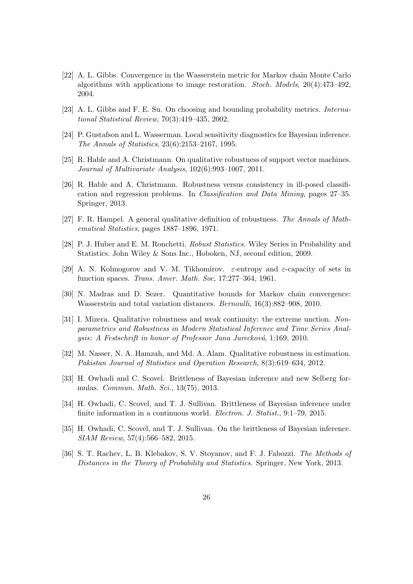- <span id="page-25-4"></span>[22] A. L. Gibbs. Convergence in the Wasserstein metric for Markov chain Monte Carlo algorithms with applications to image restoration. Stoch. Models, 20(4):473–492, 2004.
- <span id="page-25-3"></span>[23] A. L. Gibbs and F. E. Su. On choosing and bounding probability metrics. International Statistical Review, 70(3):419–435, 2002.
- <span id="page-25-6"></span>[24] P. Gustafson and L. Wasserman. Local sensitivity diagnostics for Bayesian inference. The Annals of Statistics, 23(6):2153–2167, 1995.
- <span id="page-25-8"></span>[25] R. Hable and A. Christmann. On qualitative robustness of support vector machines. Journal of Multivariate Analysis, 102(6):993–1007, 2011.
- <span id="page-25-11"></span>[26] R. Hable and A. Christmann. Robustness versus consistency in ill-posed classification and regression problems. In Classification and Data Mining, pages 27–35. Springer, 2013.
- <span id="page-25-7"></span>[27] F. R. Hampel. A general qualitative definition of robustness. The Annals of Mathematical Statistics, pages 1887–1896, 1971.
- <span id="page-25-12"></span>[28] P. J. Huber and E. M. Ronchetti. Robust Statistics. Wiley Series in Probability and Statistics. John Wiley & Sons Inc., Hoboken, NJ, second edition, 2009.
- <span id="page-25-14"></span>[29] A. N. Kolmogorov and V. M. Tikhomirov.  $\varepsilon$ -entropy and  $\varepsilon$ -capacity of sets in function spaces. Trans. Amer. Math. Soc, 17:277–364, 1961.
- <span id="page-25-5"></span>[30] N. Madras and D. Sezer. Quantitative bounds for Markov chain convergence: Wasserstein and total variation distances. *Bernoulli*,  $16(3):882-908$ , 2010.
- <span id="page-25-13"></span>[31] I. Mizera. Qualitative robustness and weak continuity: the extreme unction. Nonparametrics and Robustness in Modern Statistical Inference and Time Series Analysis: A Festschrift in honor of Professor Jana Jurecková, 1:169, 2010.
- <span id="page-25-9"></span>[32] M. Nasser, N. A. Hamzah, and Md. A. Alam. Qualitative robustness in estimation. Pakistan Journal of Statistics and Operation Research, 8(3):619–634, 2012.
- <span id="page-25-1"></span>[33] H. Owhadi and C. Scovel. Brittleness of Bayesian inference and new Selberg formulas. Commun. Math. Sci., 13(75), 2013.
- <span id="page-25-0"></span>[34] H. Owhadi, C. Scovel, and T. J. Sullivan. Brittleness of Bayesian inference under finite information in a continuous world. Electron. J. Statist., 9:1–79, 2015.
- <span id="page-25-2"></span>[35] H. Owhadi, C. Scovel, and T. J. Sullivan. On the brittleness of Bayesian inference. SIAM Review, 57(4):566–582, 2015.
- <span id="page-25-10"></span>[36] S. T. Rachev, L. B. Klebakov, S. V. Stoyanov, and F. J. Fabozzi. The Methods of Distances in the Theory of Probability and Statistics. Springer, New York, 2013.